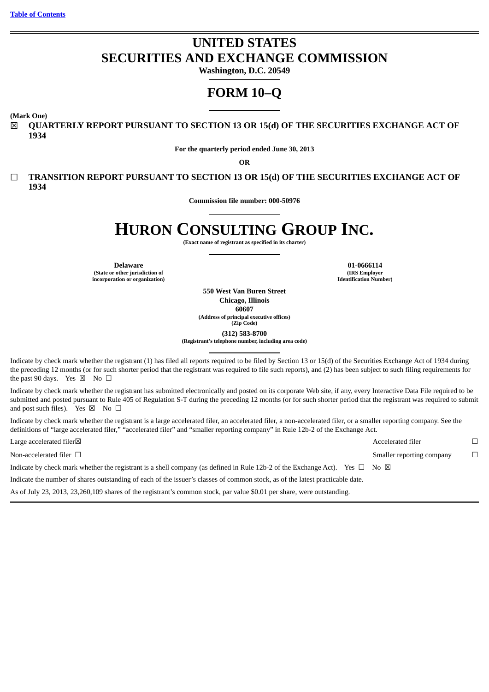# **UNITED STATES SECURITIES AND EXCHANGE COMMISSION**

**Washington, D.C. 20549**

# **FORM 10–Q**

**(Mark One)**

☒ **QUARTERLY REPORT PURSUANT TO SECTION 13 OR 15(d) OF THE SECURITIES EXCHANGE ACT OF 1934**

**For the quarterly period ended June 30, 2013**

**OR**

☐ **TRANSITION REPORT PURSUANT TO SECTION 13 OR 15(d) OF THE SECURITIES EXCHANGE ACT OF 1934**

**Commission file number: 000-50976**

# **HURON CONSULTING GROUP INC.**

**(Exact name of registrant as specified in its charter)**

**Delaware 01-0666114 (State or other jurisdiction of incorporation or organization)**

**(IRS Employer Identification Number)**

**550 West Van Buren Street Chicago, Illinois 60607 (Address of principal executive offices) (Zip Code) (312) 583-8700 (Registrant's telephone number, including area code)**

Indicate by check mark whether the registrant (1) has filed all reports required to be filed by Section 13 or 15(d) of the Securities Exchange Act of 1934 during the preceding 12 months (or for such shorter period that the registrant was required to file such reports), and (2) has been subject to such filing requirements for the past 90 days. Yes  $\boxtimes$  No  $\Box$ 

Indicate by check mark whether the registrant has submitted electronically and posted on its corporate Web site, if any, every Interactive Data File required to be submitted and posted pursuant to Rule 405 of Regulation S-T during the preceding 12 months (or for such shorter period that the registrant was required to submit and post such files). Yes  $\boxtimes$  No  $\Box$ 

Indicate by check mark whether the registrant is a large accelerated filer, an accelerated filer, a non-accelerated filer, or a smaller reporting company. See the definitions of "large accelerated filer," "accelerated filer" and "smaller reporting company" in Rule 12b-2 of the Exchange Act.

| Large accelerated filer $\boxtimes$                                                                                                        | Accelerated filer         |        |
|--------------------------------------------------------------------------------------------------------------------------------------------|---------------------------|--------|
| Non-accelerated filer $\Box$                                                                                                               | Smaller reporting company | $\Box$ |
| Indicate by check mark whether the registrant is a shell company (as defined in Rule 12b-2 of the Exchange Act). Yes $\Box$ No $\boxtimes$ |                           |        |
| Indicate the number of shares outstanding of each of the issuer's classes of common stock, as of the latest practicable date.              |                           |        |
|                                                                                                                                            |                           |        |

As of July 23, 2013, 23,260,109 shares of the registrant's common stock, par value \$0.01 per share, were outstanding.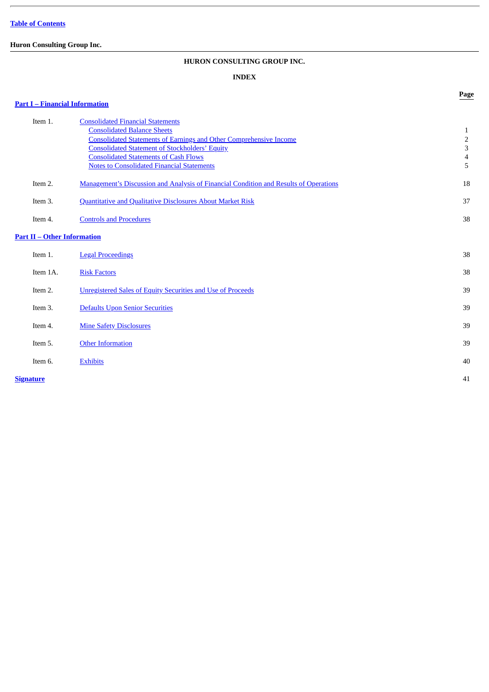## <span id="page-1-0"></span>**Huron Consulting Group Inc.**

## **HURON CONSULTING GROUP INC.**

## **INDEX**

## **[Part I – Financial Information](#page-2-0)**

**Page** 

| Item 1.                            | <b>Consolidated Financial Statements</b>                                              |                         |
|------------------------------------|---------------------------------------------------------------------------------------|-------------------------|
|                                    | <b>Consolidated Balance Sheets</b>                                                    | 1                       |
|                                    | <b>Consolidated Statements of Earnings and Other Comprehensive Income</b>             | $\overline{c}$          |
|                                    | <b>Consolidated Statement of Stockholders' Equity</b>                                 | $\mathsf 3$             |
|                                    | <b>Consolidated Statements of Cash Flows</b>                                          | $\overline{\mathbf{4}}$ |
|                                    | <b>Notes to Consolidated Financial Statements</b>                                     | 5                       |
| Item 2.                            | Management's Discussion and Analysis of Financial Condition and Results of Operations | 18                      |
| Item 3.                            | Quantitative and Qualitative Disclosures About Market Risk                            | 37                      |
| Item 4.                            | <b>Controls and Procedures</b>                                                        | 38                      |
| <b>Part II – Other Information</b> |                                                                                       |                         |
| Item 1.                            | <b>Legal Proceedings</b>                                                              | 38                      |
| Item 1A.                           | <b>Risk Factors</b>                                                                   | 38                      |
| Item 2.                            | <b>Unregistered Sales of Equity Securities and Use of Proceeds</b>                    | 39                      |
| Item 3.                            | Defaults Upon Senior Securities                                                       | 39                      |
| Item 4.                            | <b>Mine Safety Disclosures</b>                                                        | 39                      |
| Item 5.                            | <b>Other Information</b>                                                              | 39                      |
| Item 6.                            | <b>Exhibits</b>                                                                       | 40                      |
| <b>Signature</b>                   |                                                                                       | 41                      |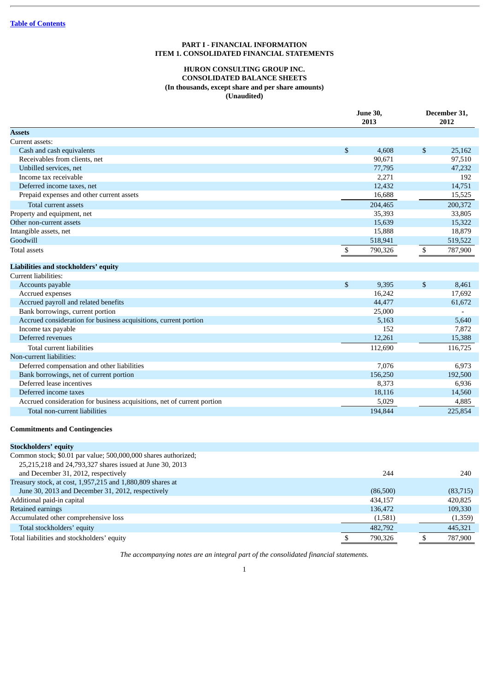## **PART I - FINANCIAL INFORMATION ITEM 1. CONSOLIDATED FINANCIAL STATEMENTS**

#### **HURON CONSULTING GROUP INC. CONSOLIDATED BALANCE SHEETS (In thousands, except share and per share amounts) (Unaudited)**

<span id="page-2-2"></span><span id="page-2-1"></span><span id="page-2-0"></span>

|                                                                         | <b>June 30,</b><br>2013 | December 31,<br>2012 |
|-------------------------------------------------------------------------|-------------------------|----------------------|
| <b>Assets</b>                                                           |                         |                      |
| Current assets:                                                         |                         |                      |
| Cash and cash equivalents                                               | \$<br>4,608             | \$<br>25,162         |
| Receivables from clients, net                                           | 90,671                  | 97,510               |
| Unbilled services, net                                                  | 77,795                  | 47,232               |
| Income tax receivable                                                   | 2,271                   | 192                  |
| Deferred income taxes, net                                              | 12,432                  | 14,751               |
| Prepaid expenses and other current assets                               | 16,688                  | 15,525               |
| Total current assets                                                    | 204,465                 | 200,372              |
| Property and equipment, net                                             | 35,393                  | 33,805               |
| Other non-current assets                                                | 15,639                  | 15,322               |
| Intangible assets, net                                                  | 15,888                  | 18,879               |
| Goodwill                                                                | 518,941                 | 519,522              |
| <b>Total assets</b>                                                     | \$<br>790,326           | \$<br>787,900        |
| Liabilities and stockholders' equity                                    |                         |                      |
| Current liabilities:                                                    |                         |                      |
| Accounts payable                                                        | \$<br>9,395             | \$<br>8,461          |
| Accrued expenses                                                        | 16,242                  | 17,692               |
| Accrued payroll and related benefits                                    | 44,477                  | 61,672               |
| Bank borrowings, current portion                                        | 25,000                  |                      |
| Accrued consideration for business acquisitions, current portion        | 5,163                   | 5,640                |
| Income tax payable                                                      | 152                     | 7,872                |
| Deferred revenues                                                       | 12,261                  | 15,388               |
| Total current liabilities                                               | 112,690                 | 116,725              |
| Non-current liabilities:                                                |                         |                      |
| Deferred compensation and other liabilities                             | 7,076                   | 6,973                |
| Bank borrowings, net of current portion                                 | 156,250                 | 192,500              |
| Deferred lease incentives                                               | 8,373                   | 6,936                |
| Deferred income taxes                                                   | 18,116                  | 14,560               |
| Accrued consideration for business acquisitions, net of current portion | 5,029                   | 4,885                |
| Total non-current liabilities                                           | 194,844                 | 225,854              |
|                                                                         |                         |                      |

## **Commitments and Contingencies**

| Stockholders' equity                                           |          |          |
|----------------------------------------------------------------|----------|----------|
| Common stock; \$0.01 par value; 500,000,000 shares authorized; |          |          |
| 25,215,218 and 24,793,327 shares issued at June 30, 2013       |          |          |
| and December 31, 2012, respectively                            | 244      | 240      |
| Treasury stock, at cost, 1,957,215 and 1,880,809 shares at     |          |          |
| June 30, 2013 and December 31, 2012, respectively              | (86,500) | (83,715) |
| Additional paid-in capital                                     | 434.157  | 420,825  |
| Retained earnings                                              | 136,472  | 109,330  |
| Accumulated other comprehensive loss                           | (1,581)  | (1,359)  |
| Total stockholders' equity                                     | 482,792  | 445,321  |
| Total liabilities and stockholders' equity                     | 790.326  | 787,900  |

*The accompanying notes are an integral part of the consolidated financial statements.*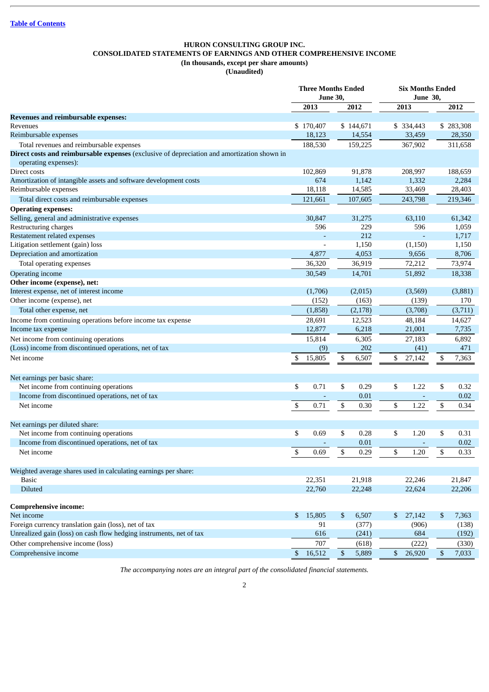## **HURON CONSULTING GROUP INC. CONSOLIDATED STATEMENTS OF EARNINGS AND OTHER COMPREHENSIVE INCOME (In thousands, except per share amounts)**

**(Unaudited)**

<span id="page-3-0"></span>

|                                                                                             | <b>Three Months Ended</b><br><b>June 30,</b> |                  |    | <b>Six Months Ended</b><br><b>June 30,</b> |    |                |    |           |
|---------------------------------------------------------------------------------------------|----------------------------------------------|------------------|----|--------------------------------------------|----|----------------|----|-----------|
|                                                                                             |                                              | 2013             |    | 2012                                       |    | 2013           |    | 2012      |
| <b>Revenues and reimbursable expenses:</b>                                                  |                                              |                  |    |                                            |    |                |    |           |
| Revenues                                                                                    |                                              | \$170,407        |    | \$144,671                                  |    | \$ 334,443     |    | \$283,308 |
| Reimbursable expenses                                                                       |                                              | 18,123           |    | 14,554                                     |    | 33,459         |    | 28,350    |
| Total revenues and reimbursable expenses                                                    |                                              | 188,530          |    | 159,225                                    |    | 367,902        |    | 311,658   |
| Direct costs and reimbursable expenses (exclusive of depreciation and amortization shown in |                                              |                  |    |                                            |    |                |    |           |
| operating expenses):                                                                        |                                              |                  |    |                                            |    |                |    |           |
| Direct costs                                                                                |                                              | 102,869          |    | 91,878                                     |    | 208,997        |    | 188,659   |
| Amortization of intangible assets and software development costs                            |                                              | 674              |    | 1,142                                      |    | 1,332          |    | 2,284     |
| Reimbursable expenses                                                                       |                                              | 18,118           |    | 14,585                                     |    | 33,469         |    | 28,403    |
| Total direct costs and reimbursable expenses                                                |                                              | 121,661          |    | 107,605                                    |    | 243,798        |    | 219,346   |
| <b>Operating expenses:</b>                                                                  |                                              |                  |    |                                            |    |                |    |           |
| Selling, general and administrative expenses                                                |                                              | 30,847           |    | 31,275                                     |    | 63,110         |    | 61,342    |
| Restructuring charges                                                                       |                                              | 596              |    | 229                                        |    | 596            |    | 1,059     |
| Restatement related expenses                                                                |                                              |                  |    | 212                                        |    | $\blacksquare$ |    | 1,717     |
| Litigation settlement (gain) loss                                                           |                                              |                  |    | 1,150                                      |    | (1,150)        |    | 1,150     |
| Depreciation and amortization                                                               |                                              | 4,877            |    | 4,053                                      |    | 9,656          |    | 8,706     |
| Total operating expenses                                                                    |                                              | 36,320           |    | 36,919                                     |    | 72,212         |    | 73,974    |
| Operating income                                                                            |                                              | 30,549           |    | 14,701                                     |    | 51,892         |    | 18,338    |
| Other income (expense), net:                                                                |                                              |                  |    |                                            |    |                |    |           |
| Interest expense, net of interest income                                                    |                                              | (1,706)          |    | (2,015)                                    |    | (3,569)        |    | (3,881)   |
| Other income (expense), net                                                                 |                                              | (152)            |    | (163)                                      |    | (139)          |    | 170       |
| Total other expense, net                                                                    |                                              | (1,858)          |    | (2,178)                                    |    | (3,708)        |    | (3,711)   |
|                                                                                             |                                              |                  |    |                                            |    |                |    |           |
| Income from continuing operations before income tax expense                                 |                                              | 28,691<br>12,877 |    | 12,523                                     |    | 48,184         |    | 14,627    |
| Income tax expense                                                                          |                                              |                  |    | 6,218                                      |    | 21,001         |    | 7,735     |
| Net income from continuing operations                                                       |                                              | 15,814           |    | 6,305                                      |    | 27,183         |    | 6,892     |
| (Loss) income from discontinued operations, net of tax                                      |                                              | (9)              |    | 202                                        |    | (41)           |    | 471       |
| Net income                                                                                  | \$                                           | 15,805           | \$ | 6,507                                      | \$ | 27,142         | \$ | 7,363     |
| Net earnings per basic share:                                                               |                                              |                  |    |                                            |    |                |    |           |
| Net income from continuing operations                                                       | \$                                           | 0.71             | \$ | 0.29                                       | \$ | 1.22           | \$ | 0.32      |
| Income from discontinued operations, net of tax                                             |                                              |                  |    | 0.01                                       |    | $\blacksquare$ |    | 0.02      |
| Net income                                                                                  | \$                                           | 0.71             | \$ | 0.30                                       | \$ | 1.22           | \$ | 0.34      |
|                                                                                             |                                              |                  |    |                                            |    |                |    |           |
| Net earnings per diluted share:                                                             |                                              |                  |    |                                            |    |                |    |           |
| Net income from continuing operations                                                       | \$                                           | 0.69             | \$ | 0.28                                       | \$ | 1.20           | \$ | 0.31      |
| Income from discontinued operations, net of tax                                             |                                              |                  |    | 0.01                                       |    |                |    | 0.02      |
| Net income                                                                                  | \$                                           | 0.69             | \$ | 0.29                                       | \$ | 1.20           | \$ | 0.33      |
| Weighted average shares used in calculating earnings per share:                             |                                              |                  |    |                                            |    |                |    |           |
| <b>Basic</b>                                                                                |                                              | 22,351           |    | 21,918                                     |    | 22,246         |    | 21,847    |
| Diluted                                                                                     |                                              | 22,760           |    | 22,248                                     |    | 22,624         |    | 22,206    |
|                                                                                             |                                              |                  |    |                                            |    |                |    |           |
| <b>Comprehensive income:</b>                                                                |                                              |                  |    |                                            |    |                |    |           |
| Net income                                                                                  | \$                                           | 15,805           | \$ | 6,507                                      | \$ | 27,142         | \$ | 7,363     |
| Foreign currency translation gain (loss), net of tax                                        |                                              | 91               |    | (377)                                      |    | (906)          |    | (138)     |
| Unrealized gain (loss) on cash flow hedging instruments, net of tax                         |                                              | 616              |    | (241)                                      |    | 684            |    | (192)     |
| Other comprehensive income (loss)                                                           |                                              | 707              |    | (618)                                      |    | (222)          |    | (330)     |
| Comprehensive income                                                                        |                                              | \$16,512         | \$ | 5,889                                      | \$ | 26,920         | \$ | 7,033     |

*The accompanying notes are an integral part of the consolidated financial statements.*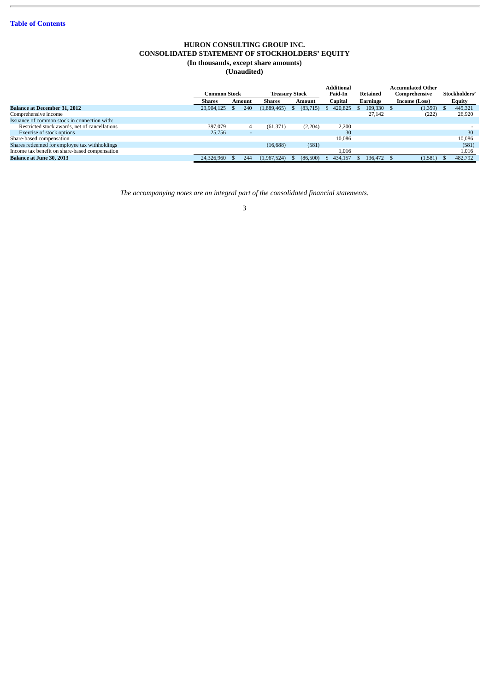## **HURON CONSULTING GROUP INC. CONSOLIDATED STATEMENT OF STOCKHOLDERS' EQUITY (In thousands, except share amounts)**

**(Unaudited)**

<span id="page-4-0"></span>

|                                                |                     |        |                       |               |     | <b>Additional</b> |                 | <b>Accumulated Other</b> |    |               |
|------------------------------------------------|---------------------|--------|-----------------------|---------------|-----|-------------------|-----------------|--------------------------|----|---------------|
|                                                | <b>Common Stock</b> |        | <b>Treasury Stock</b> |               |     | Paid-In           | <b>Retained</b> | Comprehensive            |    | Stockholders' |
|                                                | <b>Shares</b>       | Amount | <b>Shares</b>         | <b>Amount</b> |     | Capital           | Earnings        | Income (Loss)            |    | <b>Equity</b> |
| <b>Balance at December 31, 2012</b>            | 23,904,125          | 240    | (1,889,465)           | (83,715)      | -55 | 420,825 \$        | 109,330 \$      | (1, 359)                 | ×. | 445,321       |
| Comprehensive income                           |                     |        |                       |               |     |                   | 27,142          | (222)                    |    | 26,920        |
| Issuance of common stock in connection with:   |                     |        |                       |               |     |                   |                 |                          |    |               |
| Restricted stock awards, net of cancellations  | 397,079             | 4      | (61, 371)             | (2,204)       |     | 2,200             |                 |                          |    |               |
| Exercise of stock options                      | 25,756              | $\sim$ |                       |               |     | 30                |                 |                          |    | 30            |
| Share-based compensation                       |                     |        |                       |               |     | 10,086            |                 |                          |    | 10,086        |
| Shares redeemed for employee tax withholdings  |                     |        | (16,688)              | (581)         |     |                   |                 |                          |    | (581)         |
| Income tax benefit on share-based compensation |                     |        |                       |               |     | 1.016             |                 |                          |    | 1,016         |
| <b>Balance at June 30, 2013</b>                | 24,326,960          | 244    | (1.967.524)           | (86,500)      |     | 434,157           | 136,472 \$      | (1, 581)                 |    | 482,792       |

*The accompanying notes are an integral part of the consolidated financial statements.*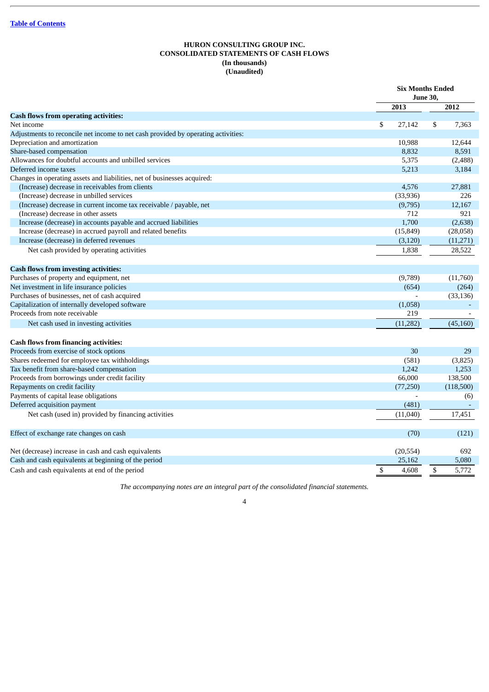## **HURON CONSULTING GROUP INC. CONSOLIDATED STATEMENTS OF CASH FLOWS (In thousands) (Unaudited)**

<span id="page-5-0"></span>

|                                                                                   | <b>Six Months Ended</b><br><b>June 30,</b> |             |
|-----------------------------------------------------------------------------------|--------------------------------------------|-------------|
|                                                                                   | 2013                                       | 2012        |
| <b>Cash flows from operating activities:</b>                                      |                                            |             |
| Net income                                                                        | \$<br>27,142                               | 7,363<br>\$ |
| Adjustments to reconcile net income to net cash provided by operating activities: |                                            |             |
| Depreciation and amortization                                                     | 10,988                                     | 12,644      |
| Share-based compensation                                                          | 8,832                                      | 8,591       |
| Allowances for doubtful accounts and unbilled services                            | 5,375                                      | (2, 488)    |
| Deferred income taxes                                                             | 5,213                                      | 3,184       |
| Changes in operating assets and liabilities, net of businesses acquired:          |                                            |             |
| (Increase) decrease in receivables from clients                                   | 4,576                                      | 27,881      |
| (Increase) decrease in unbilled services                                          | (33, 936)                                  | 226         |
| (Increase) decrease in current income tax receivable / payable, net               | (9,795)                                    | 12,167      |
| (Increase) decrease in other assets                                               | 712                                        | 921         |
| Increase (decrease) in accounts payable and accrued liabilities                   | 1,700                                      | (2,638)     |
| Increase (decrease) in accrued payroll and related benefits                       | (15, 849)                                  | (28,058)    |
| Increase (decrease) in deferred revenues                                          | (3, 120)                                   | (11,271)    |
| Net cash provided by operating activities                                         | 1,838                                      | 28,522      |
| <b>Cash flows from investing activities:</b>                                      |                                            |             |
| Purchases of property and equipment, net                                          | (9,789)                                    | (11,760)    |
| Net investment in life insurance policies                                         | (654)                                      | (264)       |
| Purchases of businesses, net of cash acquired                                     |                                            | (33, 136)   |
| Capitalization of internally developed software                                   | (1,058)                                    |             |
| Proceeds from note receivable                                                     | 219                                        |             |
| Net cash used in investing activities                                             | (11,282)                                   | (45, 160)   |
| <b>Cash flows from financing activities:</b>                                      |                                            |             |
| Proceeds from exercise of stock options                                           | 30                                         | 29          |
| Shares redeemed for employee tax withholdings                                     | (581)                                      | (3,825)     |
| Tax benefit from share-based compensation                                         | 1,242                                      | 1,253       |
| Proceeds from borrowings under credit facility                                    | 66,000                                     | 138,500     |
| Repayments on credit facility                                                     | (77, 250)                                  | (118,500)   |
| Payments of capital lease obligations                                             |                                            | (6)         |
| Deferred acquisition payment                                                      | (481)                                      |             |
| Net cash (used in) provided by financing activities                               | (11,040)                                   | 17,451      |
| Effect of exchange rate changes on cash                                           | (70)                                       | (121)       |
| Net (decrease) increase in cash and cash equivalents                              | (20, 554)                                  | 692         |
| Cash and cash equivalents at beginning of the period                              | 25,162                                     | 5,080       |
| Cash and cash equivalents at end of the period                                    | \$<br>4,608                                | \$<br>5,772 |

*The accompanying notes are an integral part of the consolidated financial statements.*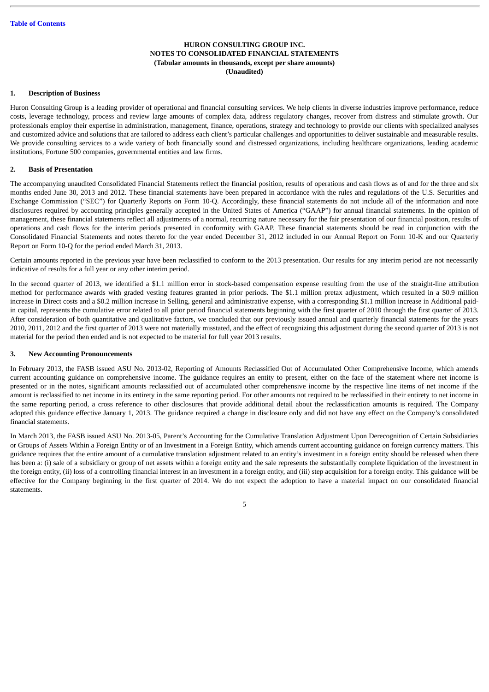#### <span id="page-6-0"></span>**1. Description of Business**

Huron Consulting Group is a leading provider of operational and financial consulting services. We help clients in diverse industries improve performance, reduce costs, leverage technology, process and review large amounts of complex data, address regulatory changes, recover from distress and stimulate growth. Our professionals employ their expertise in administration, management, finance, operations, strategy and technology to provide our clients with specialized analyses and customized advice and solutions that are tailored to address each client's particular challenges and opportunities to deliver sustainable and measurable results. We provide consulting services to a wide variety of both financially sound and distressed organizations, including healthcare organizations, leading academic institutions, Fortune 500 companies, governmental entities and law firms.

#### **2. Basis of Presentation**

The accompanying unaudited Consolidated Financial Statements reflect the financial position, results of operations and cash flows as of and for the three and six months ended June 30, 2013 and 2012. These financial statements have been prepared in accordance with the rules and regulations of the U.S. Securities and Exchange Commission ("SEC") for Quarterly Reports on Form 10-Q. Accordingly, these financial statements do not include all of the information and note disclosures required by accounting principles generally accepted in the United States of America ("GAAP") for annual financial statements. In the opinion of management, these financial statements reflect all adjustments of a normal, recurring nature necessary for the fair presentation of our financial position, results of operations and cash flows for the interim periods presented in conformity with GAAP. These financial statements should be read in conjunction with the Consolidated Financial Statements and notes thereto for the year ended December 31, 2012 included in our Annual Report on Form 10-K and our Quarterly Report on Form 10-Q for the period ended March 31, 2013.

Certain amounts reported in the previous year have been reclassified to conform to the 2013 presentation. Our results for any interim period are not necessarily indicative of results for a full year or any other interim period.

In the second quarter of 2013, we identified a \$1.1 million error in stock-based compensation expense resulting from the use of the straight-line attribution method for performance awards with graded vesting features granted in prior periods. The \$1.1 million pretax adjustment, which resulted in a \$0.9 million increase in Direct costs and a \$0.2 million increase in Selling, general and administrative expense, with a corresponding \$1.1 million increase in Additional paidin capital, represents the cumulative error related to all prior period financial statements beginning with the first quarter of 2010 through the first quarter of 2013. After consideration of both quantitative and qualitative factors, we concluded that our previously issued annual and quarterly financial statements for the years 2010, 2011, 2012 and the first quarter of 2013 were not materially misstated, and the effect of recognizing this adjustment during the second quarter of 2013 is not material for the period then ended and is not expected to be material for full year 2013 results.

#### **3. New Accounting Pronouncements**

In February 2013, the FASB issued ASU No. 2013-02, Reporting of Amounts Reclassified Out of Accumulated Other Comprehensive Income, which amends current accounting guidance on comprehensive income. The guidance requires an entity to present, either on the face of the statement where net income is presented or in the notes, significant amounts reclassified out of accumulated other comprehensive income by the respective line items of net income if the amount is reclassified to net income in its entirety in the same reporting period. For other amounts not required to be reclassified in their entirety to net income in the same reporting period, a cross reference to other disclosures that provide additional detail about the reclassification amounts is required. The Company adopted this guidance effective January 1, 2013. The guidance required a change in disclosure only and did not have any effect on the Company's consolidated financial statements.

In March 2013, the FASB issued ASU No. 2013-05, Parent's Accounting for the Cumulative Translation Adjustment Upon Derecognition of Certain Subsidiaries or Groups of Assets Within a Foreign Entity or of an Investment in a Foreign Entity, which amends current accounting guidance on foreign currency matters. This guidance requires that the entire amount of a cumulative translation adjustment related to an entity's investment in a foreign entity should be released when there has been a: (i) sale of a subsidiary or group of net assets within a foreign entity and the sale represents the substantially complete liquidation of the investment in the foreign entity, (ii) loss of a controlling financial interest in an investment in a foreign entity, and (iii) step acquisition for a foreign entity. This guidance will be effective for the Company beginning in the first quarter of 2014. We do not expect the adoption to have a material impact on our consolidated financial statements.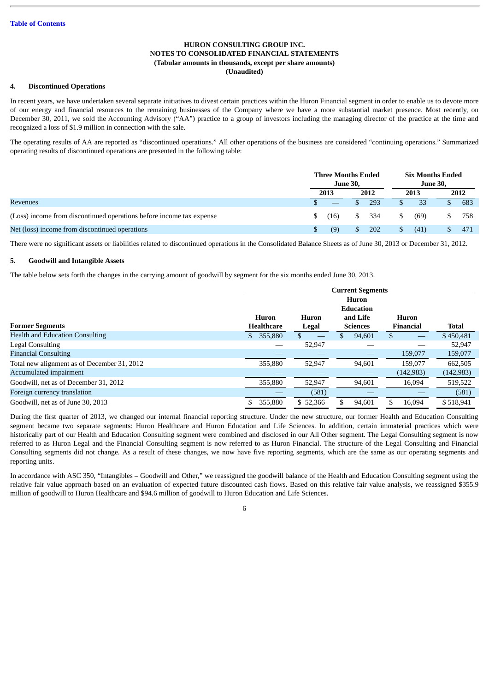#### **4. Discontinued Operations**

In recent years, we have undertaken several separate initiatives to divest certain practices within the Huron Financial segment in order to enable us to devote more of our energy and financial resources to the remaining businesses of the Company where we have a more substantial market presence. Most recently, on December 30, 2011, we sold the Accounting Advisory ("AA") practice to a group of investors including the managing director of the practice at the time and recognized a loss of \$1.9 million in connection with the sale.

The operating results of AA are reported as "discontinued operations." All other operations of the business are considered "continuing operations." Summarized operating results of discontinued operations are presented in the following table:

|                                                                      |      | <b>Three Months Ended</b> | <b>June 30.</b> |       |    | <b>Six Months Ended</b><br><b>June 30.</b> |    |      |
|----------------------------------------------------------------------|------|---------------------------|-----------------|-------|----|--------------------------------------------|----|------|
|                                                                      |      | 2013                      |                 | 2012  |    | 2013                                       |    | 2012 |
| Revenues                                                             |      |                           |                 | 293   |    | 33                                         |    | 683  |
| (Loss) income from discontinued operations before income tax expense | -SS- | (16)                      |                 | \$334 | -S | (69)                                       | S. | 758  |
| Net (loss) income from discontinued operations                       |      | (9)                       |                 | 202   |    | (41)                                       |    | 471  |

There were no significant assets or liabilities related to discontinued operations in the Consolidated Balance Sheets as of June 30, 2013 or December 31, 2012.

#### **5. Goodwill and Intangible Assets**

The table below sets forth the changes in the carrying amount of goodwill by segment for the six months ended June 30, 2013.

|                                             | <b>Current Segments</b> |          |                    |            |              |  |  |  |  |
|---------------------------------------------|-------------------------|----------|--------------------|------------|--------------|--|--|--|--|
|                                             |                         |          | Huron<br>Education |            |              |  |  |  |  |
|                                             | Huron                   | Huron    | and Life           | Huron      |              |  |  |  |  |
| <b>Former Segments</b>                      | Healthcare              | Legal    | <b>Sciences</b>    | Financial  | <b>Total</b> |  |  |  |  |
| <b>Health and Education Consulting</b>      | 355,880<br>S.           |          | 94,601             |            | \$450,481    |  |  |  |  |
| Legal Consulting                            |                         | 52,947   |                    |            | 52.947       |  |  |  |  |
| <b>Financial Consulting</b>                 |                         |          |                    | 159,077    | 159,077      |  |  |  |  |
| Total new alignment as of December 31, 2012 | 355,880                 | 52,947   | 94,601             | 159.077    | 662,505      |  |  |  |  |
| Accumulated impairment                      |                         |          |                    | (142, 983) | (142, 983)   |  |  |  |  |
| Goodwill, net as of December 31, 2012       | 355,880                 | 52,947   | 94,601             | 16,094     | 519,522      |  |  |  |  |
| Foreign currency translation                |                         | (581)    |                    |            | (581)        |  |  |  |  |
| Goodwill, net as of June 30, 2013           | 355,880                 | \$52,366 | 94,601             | 16,094     | \$518,941    |  |  |  |  |

During the first quarter of 2013, we changed our internal financial reporting structure. Under the new structure, our former Health and Education Consulting segment became two separate segments: Huron Healthcare and Huron Education and Life Sciences. In addition, certain immaterial practices which were historically part of our Health and Education Consulting segment were combined and disclosed in our All Other segment. The Legal Consulting segment is now referred to as Huron Legal and the Financial Consulting segment is now referred to as Huron Financial. The structure of the Legal Consulting and Financial Consulting segments did not change. As a result of these changes, we now have five reporting segments, which are the same as our operating segments and reporting units.

In accordance with ASC 350, "Intangibles – Goodwill and Other," we reassigned the goodwill balance of the Health and Education Consulting segment using the relative fair value approach based on an evaluation of expected future discounted cash flows. Based on this relative fair value analysis, we reassigned \$355.9 million of goodwill to Huron Healthcare and \$94.6 million of goodwill to Huron Education and Life Sciences.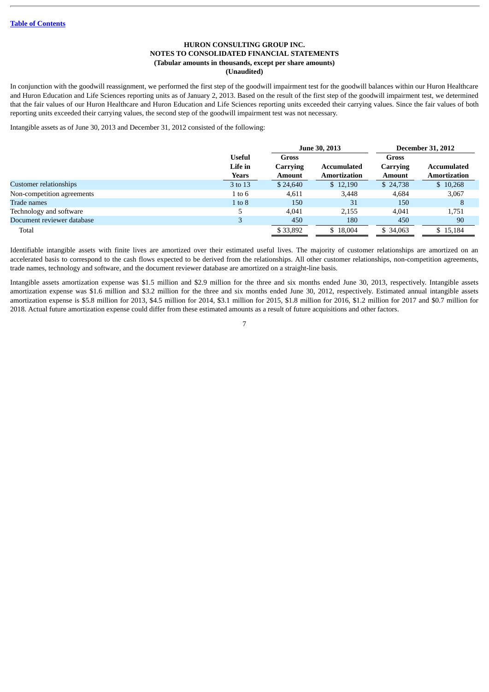In conjunction with the goodwill reassignment, we performed the first step of the goodwill impairment test for the goodwill balances within our Huron Healthcare and Huron Education and Life Sciences reporting units as of January 2, 2013. Based on the result of the first step of the goodwill impairment test, we determined that the fair values of our Huron Healthcare and Huron Education and Life Sciences reporting units exceeded their carrying values. Since the fair values of both reporting units exceeded their carrying values, the second step of the goodwill impairment test was not necessary.

Intangible assets as of June 30, 2013 and December 31, 2012 consisted of the following:

|                            |               |          | <b>June 30, 2013</b> |           | <b>December 31, 2012</b> |
|----------------------------|---------------|----------|----------------------|-----------|--------------------------|
|                            | <b>Useful</b> | Gross    |                      | Gross     |                          |
|                            | Life in       | Carrying | <b>Accumulated</b>   | Carrying  | <b>Accumulated</b>       |
|                            | <b>Years</b>  | Amount   | Amortization         | Amount    | Amortization             |
| Customer relationships     | 3 to 13       | \$24,640 | \$12,190             | \$24,738  | \$10,268                 |
| Non-competition agreements | $1$ to $6$    | 4.611    | 3.448                | 4.684     | 3,067                    |
| Trade names                | $1$ to $8$    | 150      | 31                   | 150       | 8                        |
| Technology and software    | .,            | 4.041    | 2,155                | 4.041     | 1,751                    |
| Document reviewer database |               | 450      | 180                  | 450       | 90                       |
| Total                      |               | \$33,892 | \$18,004             | \$ 34,063 | \$15,184                 |

Identifiable intangible assets with finite lives are amortized over their estimated useful lives. The majority of customer relationships are amortized on an accelerated basis to correspond to the cash flows expected to be derived from the relationships. All other customer relationships, non-competition agreements, trade names, technology and software, and the document reviewer database are amortized on a straight-line basis.

Intangible assets amortization expense was \$1.5 million and \$2.9 million for the three and six months ended June 30, 2013, respectively. Intangible assets amortization expense was \$1.6 million and \$3.2 million for the three and six months ended June 30, 2012, respectively. Estimated annual intangible assets amortization expense is \$5.8 million for 2013, \$4.5 million for 2014, \$3.1 million for 2015, \$1.8 million for 2016, \$1.2 million for 2017 and \$0.7 million for 2018. Actual future amortization expense could differ from these estimated amounts as a result of future acquisitions and other factors.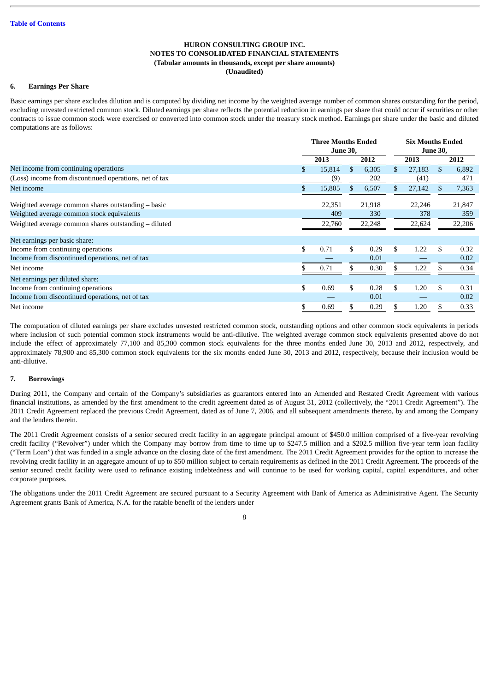#### **6. Earnings Per Share**

Basic earnings per share excludes dilution and is computed by dividing net income by the weighted average number of common shares outstanding for the period, excluding unvested restricted common stock. Diluted earnings per share reflects the potential reduction in earnings per share that could occur if securities or other contracts to issue common stock were exercised or converted into common stock under the treasury stock method. Earnings per share under the basic and diluted computations are as follows:

|                                                        | <b>Three Months Ended</b> |     |        | <b>Six Months Ended</b> |        |     |        |  |
|--------------------------------------------------------|---------------------------|-----|--------|-------------------------|--------|-----|--------|--|
|                                                        | <b>June 30,</b>           |     |        | <b>June 30,</b>         |        |     |        |  |
|                                                        | 2013                      |     | 2012   |                         | 2013   |     | 2012   |  |
| Net income from continuing operations                  | 15,814                    | \$. | 6,305  | $\mathbf{s}$            | 27,183 | \$. | 6,892  |  |
| (Loss) income from discontinued operations, net of tax | (9)                       |     | 202    |                         | (41)   |     | 471    |  |
| Net income                                             | 15,805                    |     | 6,507  |                         | 27,142 |     | 7,363  |  |
| Weighted average common shares outstanding $-$ basic   | 22,351                    |     | 21,918 |                         | 22,246 |     | 21,847 |  |
| Weighted average common stock equivalents              | 409                       |     | 330    |                         | 378    |     | 359    |  |
| Weighted average common shares outstanding - diluted   | 22,760                    |     | 22,248 |                         | 22,624 |     | 22,206 |  |
| Net earnings per basic share:                          |                           |     |        |                         |        |     |        |  |
| Income from continuing operations                      | \$<br>0.71                | \$  | 0.29   | \$.                     | 1.22   | £.  | 0.32   |  |
| Income from discontinued operations, net of tax        |                           |     | 0.01   |                         |        |     | 0.02   |  |
| Net income                                             | 0.71                      | \$  | 0.30   |                         | 1.22   |     | 0.34   |  |
| Net earnings per diluted share:                        |                           |     |        |                         |        |     |        |  |
| Income from continuing operations                      | \$<br>0.69                | \$  | 0.28   | \$                      | 1.20   |     | 0.31   |  |
| Income from discontinued operations, net of tax        |                           |     | 0.01   |                         |        |     | 0.02   |  |
| Net income                                             | 0.69                      | \$  | 0.29   |                         | 1.20   |     | 0.33   |  |

The computation of diluted earnings per share excludes unvested restricted common stock, outstanding options and other common stock equivalents in periods where inclusion of such potential common stock instruments would be anti-dilutive. The weighted average common stock equivalents presented above do not include the effect of approximately 77,100 and 85,300 common stock equivalents for the three months ended June 30, 2013 and 2012, respectively, and approximately 78,900 and 85,300 common stock equivalents for the six months ended June 30, 2013 and 2012, respectively, because their inclusion would be anti-dilutive.

#### **7. Borrowings**

During 2011, the Company and certain of the Company's subsidiaries as guarantors entered into an Amended and Restated Credit Agreement with various financial institutions, as amended by the first amendment to the credit agreement dated as of August 31, 2012 (collectively, the "2011 Credit Agreement"). The 2011 Credit Agreement replaced the previous Credit Agreement, dated as of June 7, 2006, and all subsequent amendments thereto, by and among the Company and the lenders therein.

The 2011 Credit Agreement consists of a senior secured credit facility in an aggregate principal amount of \$450.0 million comprised of a five-year revolving credit facility ("Revolver") under which the Company may borrow from time to time up to \$247.5 million and a \$202.5 million five-year term loan facility ("Term Loan") that was funded in a single advance on the closing date of the first amendment. The 2011 Credit Agreement provides for the option to increase the revolving credit facility in an aggregate amount of up to \$50 million subject to certain requirements as defined in the 2011 Credit Agreement. The proceeds of the senior secured credit facility were used to refinance existing indebtedness and will continue to be used for working capital, capital expenditures, and other corporate purposes.

The obligations under the 2011 Credit Agreement are secured pursuant to a Security Agreement with Bank of America as Administrative Agent. The Security Agreement grants Bank of America, N.A. for the ratable benefit of the lenders under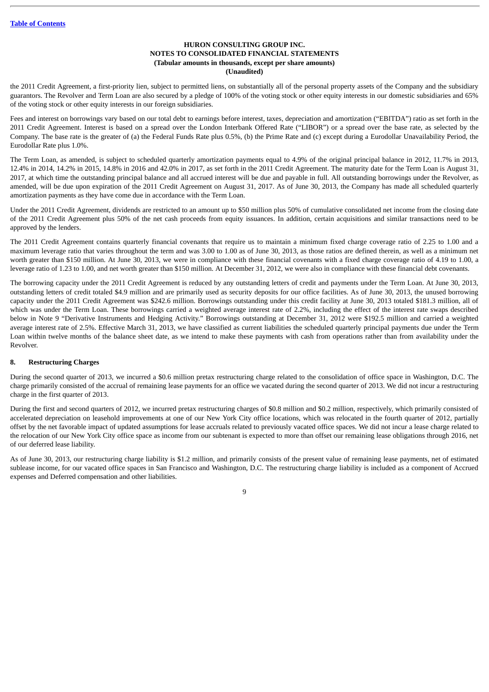the 2011 Credit Agreement, a first-priority lien, subject to permitted liens, on substantially all of the personal property assets of the Company and the subsidiary guarantors. The Revolver and Term Loan are also secured by a pledge of 100% of the voting stock or other equity interests in our domestic subsidiaries and 65% of the voting stock or other equity interests in our foreign subsidiaries.

Fees and interest on borrowings vary based on our total debt to earnings before interest, taxes, depreciation and amortization ("EBITDA") ratio as set forth in the 2011 Credit Agreement. Interest is based on a spread over the London Interbank Offered Rate ("LIBOR") or a spread over the base rate, as selected by the Company. The base rate is the greater of (a) the Federal Funds Rate plus 0.5%, (b) the Prime Rate and (c) except during a Eurodollar Unavailability Period, the Eurodollar Rate plus 1.0%.

The Term Loan, as amended, is subject to scheduled quarterly amortization payments equal to 4.9% of the original principal balance in 2012, 11.7% in 2013, 12.4% in 2014, 14.2% in 2015, 14.8% in 2016 and 42.0% in 2017, as set forth in the 2011 Credit Agreement. The maturity date for the Term Loan is August 31, 2017, at which time the outstanding principal balance and all accrued interest will be due and payable in full. All outstanding borrowings under the Revolver, as amended, will be due upon expiration of the 2011 Credit Agreement on August 31, 2017. As of June 30, 2013, the Company has made all scheduled quarterly amortization payments as they have come due in accordance with the Term Loan.

Under the 2011 Credit Agreement, dividends are restricted to an amount up to \$50 million plus 50% of cumulative consolidated net income from the closing date of the 2011 Credit Agreement plus 50% of the net cash proceeds from equity issuances. In addition, certain acquisitions and similar transactions need to be approved by the lenders.

The 2011 Credit Agreement contains quarterly financial covenants that require us to maintain a minimum fixed charge coverage ratio of 2.25 to 1.00 and a maximum leverage ratio that varies throughout the term and was 3.00 to 1.00 as of June 30, 2013, as those ratios are defined therein, as well as a minimum net worth greater than \$150 million. At June 30, 2013, we were in compliance with these financial covenants with a fixed charge coverage ratio of 4.19 to 1.00, a leverage ratio of 1.23 to 1.00, and net worth greater than \$150 million. At December 31, 2012, we were also in compliance with these financial debt covenants.

The borrowing capacity under the 2011 Credit Agreement is reduced by any outstanding letters of credit and payments under the Term Loan. At June 30, 2013, outstanding letters of credit totaled \$4.9 million and are primarily used as security deposits for our office facilities. As of June 30, 2013, the unused borrowing capacity under the 2011 Credit Agreement was \$242.6 million. Borrowings outstanding under this credit facility at June 30, 2013 totaled \$181.3 million, all of which was under the Term Loan. These borrowings carried a weighted average interest rate of 2.2%, including the effect of the interest rate swaps described below in Note 9 "Derivative Instruments and Hedging Activity." Borrowings outstanding at December 31, 2012 were \$192.5 million and carried a weighted average interest rate of 2.5%. Effective March 31, 2013, we have classified as current liabilities the scheduled quarterly principal payments due under the Term Loan within twelve months of the balance sheet date, as we intend to make these payments with cash from operations rather than from availability under the Revolver.

#### **8. Restructuring Charges**

During the second quarter of 2013, we incurred a \$0.6 million pretax restructuring charge related to the consolidation of office space in Washington, D.C. The charge primarily consisted of the accrual of remaining lease payments for an office we vacated during the second quarter of 2013. We did not incur a restructuring charge in the first quarter of 2013.

During the first and second quarters of 2012, we incurred pretax restructuring charges of \$0.8 million and \$0.2 million, respectively, which primarily consisted of accelerated depreciation on leasehold improvements at one of our New York City office locations, which was relocated in the fourth quarter of 2012, partially offset by the net favorable impact of updated assumptions for lease accruals related to previously vacated office spaces. We did not incur a lease charge related to the relocation of our New York City office space as income from our subtenant is expected to more than offset our remaining lease obligations through 2016, net of our deferred lease liability.

As of June 30, 2013, our restructuring charge liability is \$1.2 million, and primarily consists of the present value of remaining lease payments, net of estimated sublease income, for our vacated office spaces in San Francisco and Washington, D.C. The restructuring charge liability is included as a component of Accrued expenses and Deferred compensation and other liabilities.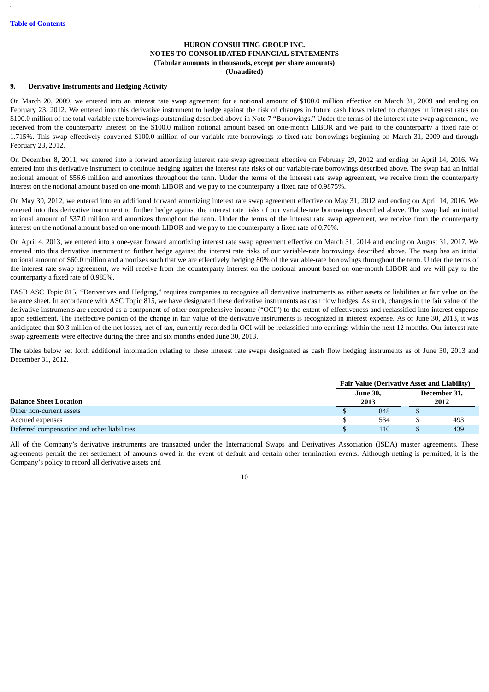#### **9. Derivative Instruments and Hedging Activity**

On March 20, 2009, we entered into an interest rate swap agreement for a notional amount of \$100.0 million effective on March 31, 2009 and ending on February 23, 2012. We entered into this derivative instrument to hedge against the risk of changes in future cash flows related to changes in interest rates on \$100.0 million of the total variable-rate borrowings outstanding described above in Note 7 "Borrowings." Under the terms of the interest rate swap agreement, we received from the counterparty interest on the \$100.0 million notional amount based on one-month LIBOR and we paid to the counterparty a fixed rate of 1.715%. This swap effectively converted \$100.0 million of our variable-rate borrowings to fixed-rate borrowings beginning on March 31, 2009 and through February 23, 2012.

On December 8, 2011, we entered into a forward amortizing interest rate swap agreement effective on February 29, 2012 and ending on April 14, 2016. We entered into this derivative instrument to continue hedging against the interest rate risks of our variable-rate borrowings described above. The swap had an initial notional amount of \$56.6 million and amortizes throughout the term. Under the terms of the interest rate swap agreement, we receive from the counterparty interest on the notional amount based on one-month LIBOR and we pay to the counterparty a fixed rate of 0.9875%.

On May 30, 2012, we entered into an additional forward amortizing interest rate swap agreement effective on May 31, 2012 and ending on April 14, 2016. We entered into this derivative instrument to further hedge against the interest rate risks of our variable-rate borrowings described above. The swap had an initial notional amount of \$37.0 million and amortizes throughout the term. Under the terms of the interest rate swap agreement, we receive from the counterparty interest on the notional amount based on one-month LIBOR and we pay to the counterparty a fixed rate of 0.70%.

On April 4, 2013, we entered into a one-year forward amortizing interest rate swap agreement effective on March 31, 2014 and ending on August 31, 2017. We entered into this derivative instrument to further hedge against the interest rate risks of our variable-rate borrowings described above. The swap has an initial notional amount of \$60.0 million and amortizes such that we are effectively hedging 80% of the variable-rate borrowings throughout the term. Under the terms of the interest rate swap agreement, we will receive from the counterparty interest on the notional amount based on one-month LIBOR and we will pay to the counterparty a fixed rate of 0.985%.

FASB ASC Topic 815, "Derivatives and Hedging," requires companies to recognize all derivative instruments as either assets or liabilities at fair value on the balance sheet. In accordance with ASC Topic 815, we have designated these derivative instruments as cash flow hedges. As such, changes in the fair value of the derivative instruments are recorded as a component of other comprehensive income ("OCI") to the extent of effectiveness and reclassified into interest expense upon settlement. The ineffective portion of the change in fair value of the derivative instruments is recognized in interest expense. As of June 30, 2013, it was anticipated that \$0.3 million of the net losses, net of tax, currently recorded in OCI will be reclassified into earnings within the next 12 months. Our interest rate swap agreements were effective during the three and six months ended June 30, 2013.

The tables below set forth additional information relating to these interest rate swaps designated as cash flow hedging instruments as of June 30, 2013 and December 31, 2012.

|                                             | <b>Fair Value (Derivative Asset and Liability)</b> |                 |      |              |  |  |  |  |
|---------------------------------------------|----------------------------------------------------|-----------------|------|--------------|--|--|--|--|
|                                             |                                                    | <b>June 30.</b> |      | December 31, |  |  |  |  |
| <b>Balance Sheet Location</b>               |                                                    | 2013            | 2012 |              |  |  |  |  |
| Other non-current assets                    |                                                    | 848             |      |              |  |  |  |  |
| Accrued expenses                            |                                                    | 534             |      | 493          |  |  |  |  |
| Deferred compensation and other liabilities | 110                                                |                 |      | 439          |  |  |  |  |

All of the Company's derivative instruments are transacted under the International Swaps and Derivatives Association (ISDA) master agreements. These agreements permit the net settlement of amounts owed in the event of default and certain other termination events. Although netting is permitted, it is the Company's policy to record all derivative assets and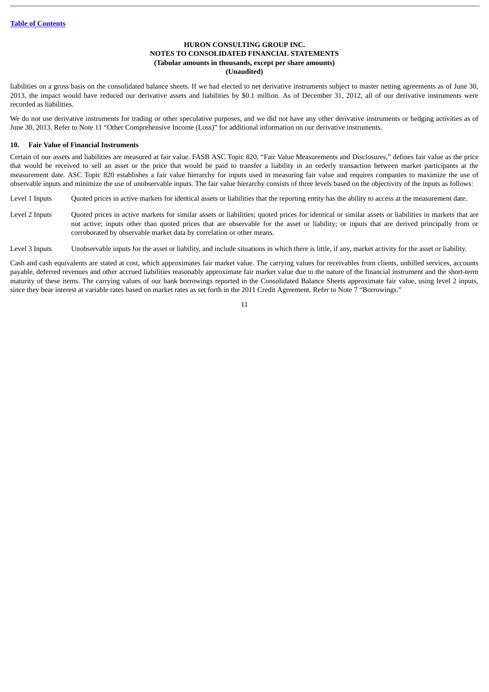liabilities on a gross basis on the consolidated balance sheets. If we had elected to net derivative instruments subject to master netting agreements as of June 30, 2013, the impact would have reduced our derivative assets and liabilities by \$0.1 million. As of December 31, 2012, all of our derivative instruments were recorded as liabilities.

We do not use derivative instruments for trading or other speculative purposes, and we did not have any other derivative instruments or hedging activities as of June 30, 2013. Refer to Note 11 "Other Comprehensive Income (Loss)" for additional information on our derivative instruments.

#### **10. Fair Value of Financial Instruments**

Certain of our assets and liabilities are measured at fair value. FASB ASC Topic 820, "Fair Value Measurements and Disclosures," defines fair value as the price that would be received to sell an asset or the price that would be paid to transfer a liability in an orderly transaction between market participants at the measurement date. ASC Topic 820 establishes a fair value hierarchy for inputs used in measuring fair value and requires companies to maximize the use of observable inputs and minimize the use of unobservable inputs. The fair value hierarchy consists of three levels based on the objectivity of the inputs as follows:

Level 1 Inputs Ouoted prices in active markets for identical assets or liabilities that the reporting entity has the ability to access at the measurement date.

Level 2 Inputs Quoted prices in active markets for similar assets or liabilities; quoted prices for identical or similar assets or liabilities in markets that are not active; inputs other than quoted prices that are observable for the asset or liability; or inputs that are derived principally from or corroborated by observable market data by correlation or other means.

Level 3 Inputs Unobservable inputs for the asset or liability, and include situations in which there is little, if any, market activity for the asset or liability.

Cash and cash equivalents are stated at cost, which approximates fair market value. The carrying values for receivables from clients, unbilled services, accounts payable, deferred revenues and other accrued liabilities reasonably approximate fair market value due to the nature of the financial instrument and the short-term maturity of these items. The carrying values of our bank borrowings reported in the Consolidated Balance Sheets approximate fair value, using level 2 inputs, since they bear interest at variable rates based on market rates as set forth in the 2011 Credit Agreement. Refer to Note 7 "Borrowings."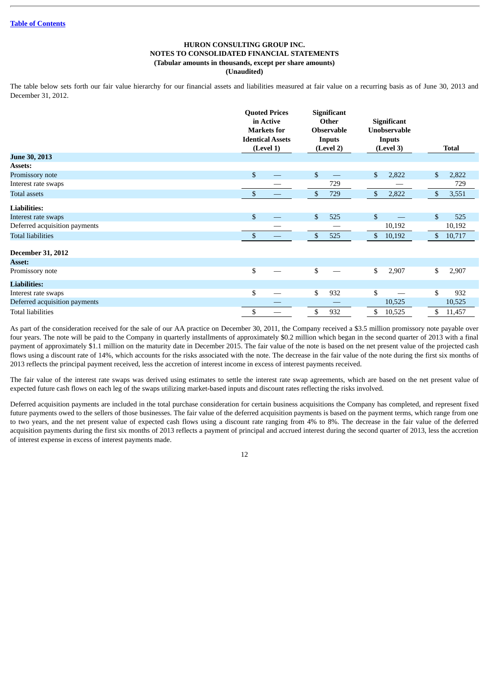The table below sets forth our fair value hierarchy for our financial assets and liabilities measured at fair value on a recurring basis as of June 30, 2013 and December 31, 2012.

|                               | <b>Quoted Prices</b><br>in Active<br><b>Markets</b> for<br><b>Identical Assets</b><br>(Level 1) | <b>Significant</b><br>Other<br><b>Observable</b><br><b>Inputs</b><br>(Level 2) | <b>Significant</b><br>Unobservable<br><b>Inputs</b><br>(Level 3) | <b>Total</b> |
|-------------------------------|-------------------------------------------------------------------------------------------------|--------------------------------------------------------------------------------|------------------------------------------------------------------|--------------|
| <b>June 30, 2013</b>          |                                                                                                 |                                                                                |                                                                  |              |
| Assets:                       |                                                                                                 |                                                                                |                                                                  |              |
| Promissory note               | $\mathbb{S}$                                                                                    | \$                                                                             | \$<br>2,822                                                      | \$<br>2,822  |
| Interest rate swaps           |                                                                                                 | 729                                                                            |                                                                  | 729          |
| <b>Total assets</b>           | \$                                                                                              | \$<br>729                                                                      | \$<br>2,822                                                      | \$<br>3,551  |
| <b>Liabilities:</b>           |                                                                                                 |                                                                                |                                                                  |              |
| Interest rate swaps           | $\mathbb{S}$                                                                                    | \$<br>525                                                                      | \$                                                               | \$<br>525    |
| Deferred acquisition payments |                                                                                                 |                                                                                | 10,192                                                           | 10,192       |
| <b>Total liabilities</b>      | \$                                                                                              | \$<br>525                                                                      | \$<br>10,192                                                     | \$<br>10,717 |
| <b>December 31, 2012</b>      |                                                                                                 |                                                                                |                                                                  |              |
| Asset:                        |                                                                                                 |                                                                                |                                                                  |              |
| Promissory note               | \$                                                                                              | \$                                                                             | \$<br>2,907                                                      | \$<br>2,907  |
| <b>Liabilities:</b>           |                                                                                                 |                                                                                |                                                                  |              |
| Interest rate swaps           | \$                                                                                              | \$<br>932                                                                      | \$                                                               | \$<br>932    |
| Deferred acquisition payments |                                                                                                 |                                                                                | 10,525                                                           | 10,525       |
| <b>Total liabilities</b>      | \$                                                                                              | \$<br>932                                                                      | \$<br>10,525                                                     | \$<br>11,457 |

As part of the consideration received for the sale of our AA practice on December 30, 2011, the Company received a \$3.5 million promissory note payable over four years. The note will be paid to the Company in quarterly installments of approximately \$0.2 million which began in the second quarter of 2013 with a final payment of approximately \$1.1 million on the maturity date in December 2015. The fair value of the note is based on the net present value of the projected cash flows using a discount rate of 14%, which accounts for the risks associated with the note. The decrease in the fair value of the note during the first six months of 2013 reflects the principal payment received, less the accretion of interest income in excess of interest payments received.

The fair value of the interest rate swaps was derived using estimates to settle the interest rate swap agreements, which are based on the net present value of expected future cash flows on each leg of the swaps utilizing market-based inputs and discount rates reflecting the risks involved.

Deferred acquisition payments are included in the total purchase consideration for certain business acquisitions the Company has completed, and represent fixed future payments owed to the sellers of those businesses. The fair value of the deferred acquisition payments is based on the payment terms, which range from one to two years, and the net present value of expected cash flows using a discount rate ranging from 4% to 8%. The decrease in the fair value of the deferred acquisition payments during the first six months of 2013 reflects a payment of principal and accrued interest during the second quarter of 2013, less the accretion of interest expense in excess of interest payments made.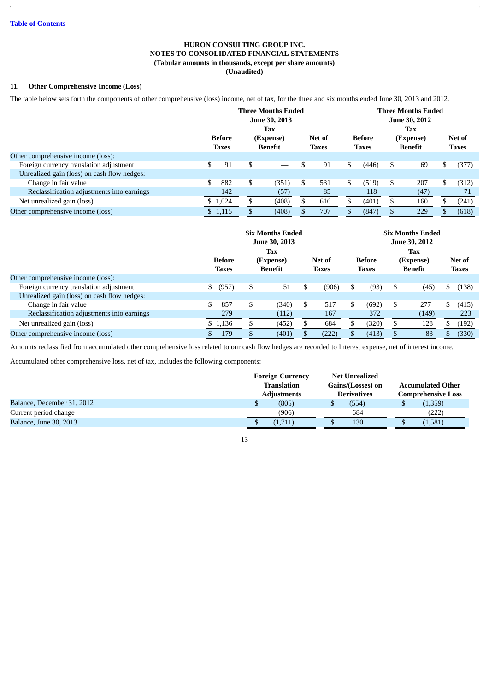## **11. Other Comprehensive Income (Loss)**

The table below sets forth the components of other comprehensive (loss) income, net of tax, for the three and six months ended June 30, 2013 and 2012.

|                                             |                               |    | <b>Three Months Ended</b><br><b>June 30, 2013</b> |     |                 |                               | <b>Three Months Ended</b><br><b>June 30, 2012</b> |                        |
|---------------------------------------------|-------------------------------|----|---------------------------------------------------|-----|-----------------|-------------------------------|---------------------------------------------------|------------------------|
|                                             | <b>Before</b><br><b>Taxes</b> |    | Tax<br>(Expense)<br>Benefit                       |     | Net of<br>Taxes | <b>Before</b><br><b>Taxes</b> | Tax<br>(Expense)<br>Benefit                       | Net of<br><b>Taxes</b> |
| Other comprehensive income (loss):          |                               |    |                                                   |     |                 |                               |                                                   |                        |
| Foreign currency translation adjustment     | 91                            | \$ |                                                   |     | 91              | \$<br>(446)                   | \$<br>69                                          | \$<br>(377)            |
| Unrealized gain (loss) on cash flow hedges: |                               |    |                                                   |     |                 |                               |                                                   |                        |
| Change in fair value                        | 882                           | \$ | (351)                                             | \$. | 531             | \$<br>(519)                   | \$<br>207                                         | \$<br>(312)            |
| Reclassification adjustments into earnings  | 142                           |    | (57)                                              |     | 85              | 118                           | (47)                                              | 71                     |
| Net unrealized gain (loss)                  | \$1,024                       | \$ | (408)                                             |     | 616             | (401)                         | 160                                               | (241)                  |
| Other comprehensive income (loss)           | \$1,115                       | S  | (408)                                             |     | 707             | (847)                         | 229                                               | (618)                  |

|                                             |                               | <b>Six Months Ended</b><br><b>June 30, 2013</b> |    |                        |    |                               | <b>Six Months Ended</b><br><b>June 30, 2012</b> |    |                        |
|---------------------------------------------|-------------------------------|-------------------------------------------------|----|------------------------|----|-------------------------------|-------------------------------------------------|----|------------------------|
|                                             |                               | Tax                                             |    |                        |    |                               | <b>Tax</b>                                      |    |                        |
|                                             | <b>Before</b><br><b>Taxes</b> | (Expense)<br>Benefit                            |    | Net of<br><b>Taxes</b> |    | <b>Before</b><br><b>Taxes</b> | (Expense)<br>Benefit                            |    | Net of<br><b>Taxes</b> |
| Other comprehensive income (loss):          |                               |                                                 |    |                        |    |                               |                                                 |    |                        |
| Foreign currency translation adjustment     | (957)<br>\$                   | \$<br>51                                        | S  | (906)                  | \$ | (93)                          | \$<br>(45)                                      | \$ | (138)                  |
| Unrealized gain (loss) on cash flow hedges: |                               |                                                 |    |                        |    |                               |                                                 |    |                        |
| Change in fair value                        | \$.<br>857                    | \$<br>(340)                                     | S. | 517                    | \$ | (692)                         | \$<br>277                                       | \$ | (415)                  |
| Reclassification adjustments into earnings  | 279                           | (112)                                           |    | 167                    |    | 372                           | (149)                                           |    | 223                    |
| Net unrealized gain (loss)                  | \$1,136                       | (452)                                           |    | 684                    | ъ. | (320)                         | \$<br>128                                       | æ  | (192)                  |
| Other comprehensive income (loss)           | 179                           | (401)                                           |    | (222)                  |    | (413)                         | \$<br>83                                        |    | (330)                  |

Amounts reclassified from accumulated other comprehensive loss related to our cash flow hedges are recorded to Interest expense, net of interest income.

Accumulated other comprehensive loss, net of tax, includes the following components:

|                            | <b>Foreign Currency</b><br>Translation |                    | <b>Net Unrealized</b> |                           |                          |  |
|----------------------------|----------------------------------------|--------------------|-----------------------|---------------------------|--------------------------|--|
|                            |                                        |                    | Gains/(Losses) on     |                           | <b>Accumulated Other</b> |  |
|                            |                                        | <b>Adjustments</b> | <b>Derivatives</b>    | <b>Comprehensive Loss</b> |                          |  |
| Balance, December 31, 2012 |                                        | (805)              | (554)                 |                           | (1,359)                  |  |
| Current period change      |                                        | (906)              | 684                   |                           | (222)                    |  |
| Balance, June 30, 2013     |                                        | (1,711)            | 130                   |                           | (1,581)                  |  |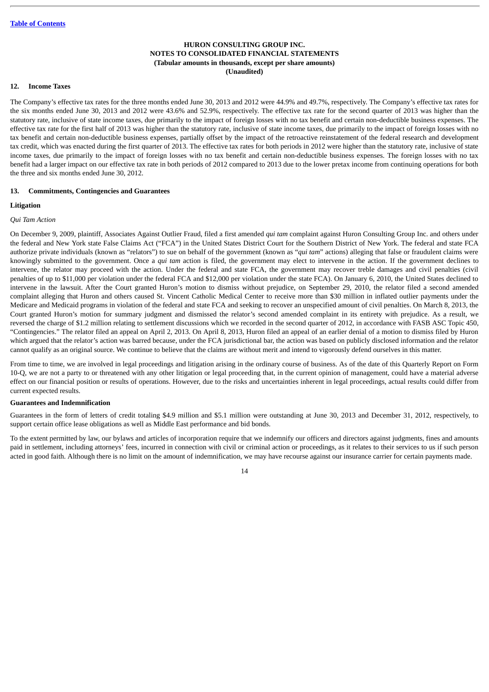#### **12. Income Taxes**

The Company's effective tax rates for the three months ended June 30, 2013 and 2012 were 44.9% and 49.7%, respectively. The Company's effective tax rates for the six months ended June 30, 2013 and 2012 were 43.6% and 52.9%, respectively. The effective tax rate for the second quarter of 2013 was higher than the statutory rate, inclusive of state income taxes, due primarily to the impact of foreign losses with no tax benefit and certain non-deductible business expenses. The effective tax rate for the first half of 2013 was higher than the statutory rate, inclusive of state income taxes, due primarily to the impact of foreign losses with no tax benefit and certain non-deductible business expenses, partially offset by the impact of the retroactive reinstatement of the federal research and development tax credit, which was enacted during the first quarter of 2013. The effective tax rates for both periods in 2012 were higher than the statutory rate, inclusive of state income taxes, due primarily to the impact of foreign losses with no tax benefit and certain non-deductible business expenses. The foreign losses with no tax benefit had a larger impact on our effective tax rate in both periods of 2012 compared to 2013 due to the lower pretax income from continuing operations for both the three and six months ended June 30, 2012.

#### **13. Commitments, Contingencies and Guarantees**

#### **Litigation**

#### *Qui Tam Action*

On December 9, 2009, plaintiff, Associates Against Outlier Fraud, filed a first amended *qui tam* complaint against Huron Consulting Group Inc. and others under the federal and New York state False Claims Act ("FCA") in the United States District Court for the Southern District of New York. The federal and state FCA authorize private individuals (known as "relators") to sue on behalf of the government (known as "*qui tam*" actions) alleging that false or fraudulent claims were knowingly submitted to the government. Once a *qui tam* action is filed, the government may elect to intervene in the action. If the government declines to intervene, the relator may proceed with the action. Under the federal and state FCA, the government may recover treble damages and civil penalties (civil penalties of up to \$11,000 per violation under the federal FCA and \$12,000 per violation under the state FCA). On January 6, 2010, the United States declined to intervene in the lawsuit. After the Court granted Huron's motion to dismiss without prejudice, on September 29, 2010, the relator filed a second amended complaint alleging that Huron and others caused St. Vincent Catholic Medical Center to receive more than \$30 million in inflated outlier payments under the Medicare and Medicaid programs in violation of the federal and state FCA and seeking to recover an unspecified amount of civil penalties. On March 8, 2013, the Court granted Huron's motion for summary judgment and dismissed the relator's second amended complaint in its entirety with prejudice. As a result, we reversed the charge of \$1.2 million relating to settlement discussions which we recorded in the second quarter of 2012, in accordance with FASB ASC Topic 450, "Contingencies." The relator filed an appeal on April 2, 2013. On April 8, 2013, Huron filed an appeal of an earlier denial of a motion to dismiss filed by Huron which argued that the relator's action was barred because, under the FCA jurisdictional bar, the action was based on publicly disclosed information and the relator cannot qualify as an original source. We continue to believe that the claims are without merit and intend to vigorously defend ourselves in this matter.

From time to time, we are involved in legal proceedings and litigation arising in the ordinary course of business. As of the date of this Quarterly Report on Form 10-Q, we are not a party to or threatened with any other litigation or legal proceeding that, in the current opinion of management, could have a material adverse effect on our financial position or results of operations. However, due to the risks and uncertainties inherent in legal proceedings, actual results could differ from current expected results.

#### **Guarantees and Indemnification**

Guarantees in the form of letters of credit totaling \$4.9 million and \$5.1 million were outstanding at June 30, 2013 and December 31, 2012, respectively, to support certain office lease obligations as well as Middle East performance and bid bonds.

To the extent permitted by law, our bylaws and articles of incorporation require that we indemnify our officers and directors against judgments, fines and amounts paid in settlement, including attorneys' fees, incurred in connection with civil or criminal action or proceedings, as it relates to their services to us if such person acted in good faith. Although there is no limit on the amount of indemnification, we may have recourse against our insurance carrier for certain payments made.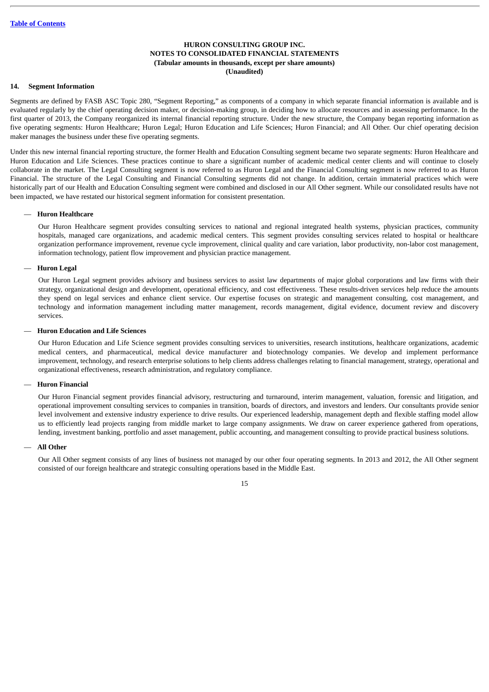#### **14. Segment Information**

Segments are defined by FASB ASC Topic 280, "Segment Reporting," as components of a company in which separate financial information is available and is evaluated regularly by the chief operating decision maker, or decision-making group, in deciding how to allocate resources and in assessing performance. In the first quarter of 2013, the Company reorganized its internal financial reporting structure. Under the new structure, the Company began reporting information as five operating segments: Huron Healthcare; Huron Legal; Huron Education and Life Sciences; Huron Financial; and All Other. Our chief operating decision maker manages the business under these five operating segments.

Under this new internal financial reporting structure, the former Health and Education Consulting segment became two separate segments: Huron Healthcare and Huron Education and Life Sciences. These practices continue to share a significant number of academic medical center clients and will continue to closely collaborate in the market. The Legal Consulting segment is now referred to as Huron Legal and the Financial Consulting segment is now referred to as Huron Financial. The structure of the Legal Consulting and Financial Consulting segments did not change. In addition, certain immaterial practices which were historically part of our Health and Education Consulting segment were combined and disclosed in our All Other segment. While our consolidated results have not been impacted, we have restated our historical segment information for consistent presentation.

#### — **Huron Healthcare**

Our Huron Healthcare segment provides consulting services to national and regional integrated health systems, physician practices, community hospitals, managed care organizations, and academic medical centers. This segment provides consulting services related to hospital or healthcare organization performance improvement, revenue cycle improvement, clinical quality and care variation, labor productivity, non-labor cost management, information technology, patient flow improvement and physician practice management.

#### — **Huron Legal**

Our Huron Legal segment provides advisory and business services to assist law departments of major global corporations and law firms with their strategy, organizational design and development, operational efficiency, and cost effectiveness. These results-driven services help reduce the amounts they spend on legal services and enhance client service. Our expertise focuses on strategic and management consulting, cost management, and technology and information management including matter management, records management, digital evidence, document review and discovery services.

#### — **Huron Education and Life Sciences**

Our Huron Education and Life Science segment provides consulting services to universities, research institutions, healthcare organizations, academic medical centers, and pharmaceutical, medical device manufacturer and biotechnology companies. We develop and implement performance improvement, technology, and research enterprise solutions to help clients address challenges relating to financial management, strategy, operational and organizational effectiveness, research administration, and regulatory compliance.

#### — **Huron Financial**

Our Huron Financial segment provides financial advisory, restructuring and turnaround, interim management, valuation, forensic and litigation, and operational improvement consulting services to companies in transition, boards of directors, and investors and lenders. Our consultants provide senior level involvement and extensive industry experience to drive results. Our experienced leadership, management depth and flexible staffing model allow us to efficiently lead projects ranging from middle market to large company assignments. We draw on career experience gathered from operations, lending, investment banking, portfolio and asset management, public accounting, and management consulting to provide practical business solutions.

#### — **All Other**

Our All Other segment consists of any lines of business not managed by our other four operating segments. In 2013 and 2012, the All Other segment consisted of our foreign healthcare and strategic consulting operations based in the Middle East.

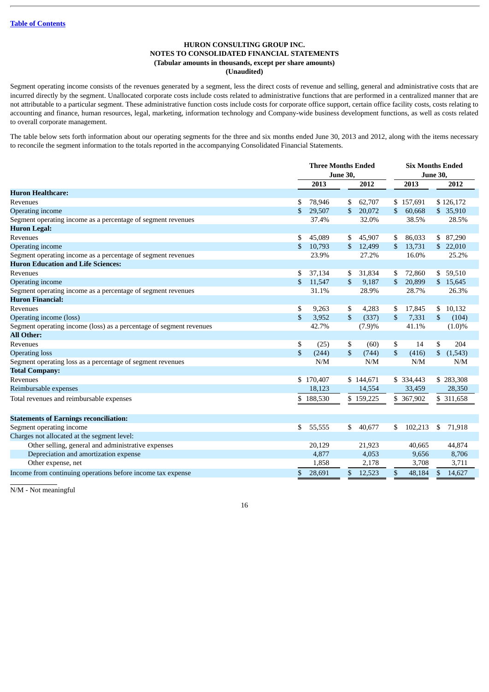Segment operating income consists of the revenues generated by a segment, less the direct costs of revenue and selling, general and administrative costs that are incurred directly by the segment. Unallocated corporate costs include costs related to administrative functions that are performed in a centralized manner that are not attributable to a particular segment. These administrative function costs include costs for corporate office support, certain office facility costs, costs relating to accounting and finance, human resources, legal, marketing, information technology and Company-wide business development functions, as well as costs related to overall corporate management.

The table below sets forth information about our operating segments for the three and six months ended June 30, 2013 and 2012, along with the items necessary to reconcile the segment information to the totals reported in the accompanying Consolidated Financial Statements.

|                                                                     | <b>Three Months Ended</b><br><b>June 30,</b> |              |           |              | <b>Six Months Ended</b><br><b>June 30,</b> |    |            |  |
|---------------------------------------------------------------------|----------------------------------------------|--------------|-----------|--------------|--------------------------------------------|----|------------|--|
|                                                                     | 2013                                         |              | 2012      |              | 2013                                       |    | 2012       |  |
| <b>Huron Healthcare:</b>                                            |                                              |              |           |              |                                            |    |            |  |
| Revenues                                                            | \$<br>78,946                                 | \$           | 62,707    |              | \$157,691                                  |    | \$126,172  |  |
| Operating income                                                    | \$<br>29,507                                 | $\mathbb{S}$ | 20,072    | \$           | 60,668                                     |    | \$ 35,910  |  |
| Segment operating income as a percentage of segment revenues        | 37.4%                                        |              | 32.0%     |              | 38.5%                                      |    | 28.5%      |  |
| <b>Huron Legal:</b>                                                 |                                              |              |           |              |                                            |    |            |  |
| Revenues                                                            | \$<br>45,089                                 | S            | 45,907    | S            | 86,033                                     |    | \$ 87,290  |  |
| Operating income                                                    | \$<br>10,793                                 | $\mathbb{S}$ | 12,499    | $\mathbf{s}$ | 13,731                                     |    | \$22,010   |  |
| Segment operating income as a percentage of segment revenues        | 23.9%                                        |              | 27.2%     |              | 16.0%                                      |    | 25.2%      |  |
| <b>Huron Education and Life Sciences:</b>                           |                                              |              |           |              |                                            |    |            |  |
| Revenues                                                            | \$<br>37,134                                 | \$           | 31,834    | S            | 72,860                                     |    | \$ 59,510  |  |
| Operating income                                                    | \$<br>11,547                                 | $\mathbb{S}$ | 9,187     | \$           | 20,899                                     |    | \$15,645   |  |
| Segment operating income as a percentage of segment revenues        | 31.1%                                        |              | 28.9%     |              | 28.7%                                      |    | 26.3%      |  |
| <b>Huron Financial:</b>                                             |                                              |              |           |              |                                            |    |            |  |
| Revenues                                                            | \$<br>9,263                                  | \$           | 4,283     | \$           | 17,845                                     |    | \$10,132   |  |
| Operating income (loss)                                             | \$<br>3,952                                  | \$           | (337)     | \$           | 7,331                                      | \$ | (104)      |  |
| Segment operating income (loss) as a percentage of segment revenues | 42.7%                                        |              | (7.9)%    |              | 41.1%                                      |    | (1.0)%     |  |
| <b>All Other:</b>                                                   |                                              |              |           |              |                                            |    |            |  |
| Revenues                                                            | \$<br>(25)                                   | \$           | (60)      | \$           | 14                                         | \$ | 204        |  |
| <b>Operating loss</b>                                               | \$<br>(244)                                  | \$           | (744)     | \$           | (416)                                      | \$ | (1,543)    |  |
| Segment operating loss as a percentage of segment revenues          | N/M                                          |              | N/M       |              | N/M                                        |    | N/M        |  |
| <b>Total Company:</b>                                               |                                              |              |           |              |                                            |    |            |  |
| Revenues                                                            | \$170,407                                    |              | \$144,671 |              | \$ 334,443                                 |    | \$283,308  |  |
| Reimbursable expenses                                               | 18,123                                       |              | 14,554    |              | 33,459                                     |    | 28,350     |  |
| Total revenues and reimbursable expenses                            | \$<br>188,530                                |              | \$159,225 |              | \$ 367,902                                 |    | \$ 311,658 |  |
| <b>Statements of Earnings reconciliation:</b>                       |                                              |              |           |              |                                            |    |            |  |
| Segment operating income                                            | \$<br>55,555                                 | \$           | 40,677    | S            | 102,213                                    | \$ | 71,918     |  |
| Charges not allocated at the segment level:                         |                                              |              |           |              |                                            |    |            |  |
| Other selling, general and administrative expenses                  | 20,129                                       |              | 21,923    |              | 40,665                                     |    | 44,874     |  |
| Depreciation and amortization expense                               | 4,877                                        |              | 4,053     |              | 9,656                                      |    | 8,706      |  |
| Other expense, net                                                  | 1,858                                        |              | 2,178     |              | 3,708                                      |    | 3,711      |  |
|                                                                     |                                              |              |           |              |                                            |    |            |  |
| Income from continuing operations before income tax expense         | \$<br>28,691                                 | \$           | 12,523    | \$           | 48,184                                     | \$ | 14,627     |  |

N/M - Not meaningful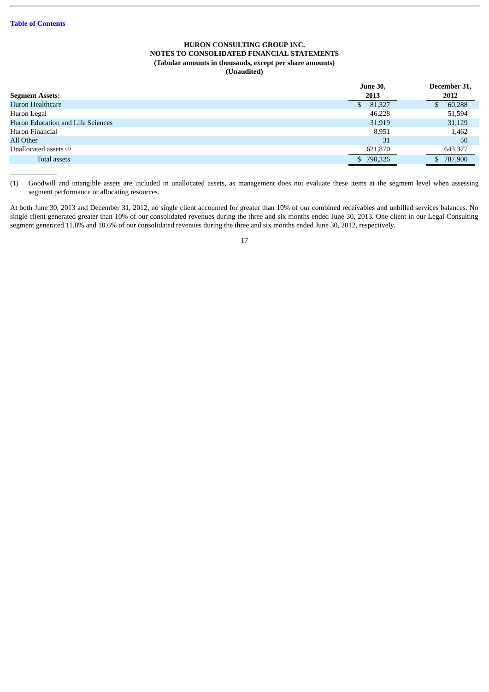|                                   | <b>June 30,</b> | December 31, |
|-----------------------------------|-----------------|--------------|
| <b>Segment Assets:</b>            | 2013            | 2012         |
| Huron Healthcare                  | \$81,327        | 60,288       |
| Huron Legal                       | 46,228          | 51,594       |
| Huron Education and Life Sciences | 31,919          | 31,129       |
| Huron Financial                   | 8,951           | 1,462        |
| All Other                         | 31              | 50           |
| Unallocated assets (1)            | 621,870         | 643,377      |
| Total assets                      | \$790,326       | \$ 787,900   |

(1) Goodwill and intangible assets are included in unallocated assets, as management does not evaluate these items at the segment level when assessing segment performance or allocating resources.

At both June 30, 2013 and December 31, 2012, no single client accounted for greater than 10% of our combined receivables and unbilled services balances. No single client generated greater than 10% of our consolidated revenues during the three and six months ended June 30, 2013. One client in our Legal Consulting segment generated 11.8% and 10.6% of our consolidated revenues during the three and six months ended June 30, 2012, respectively.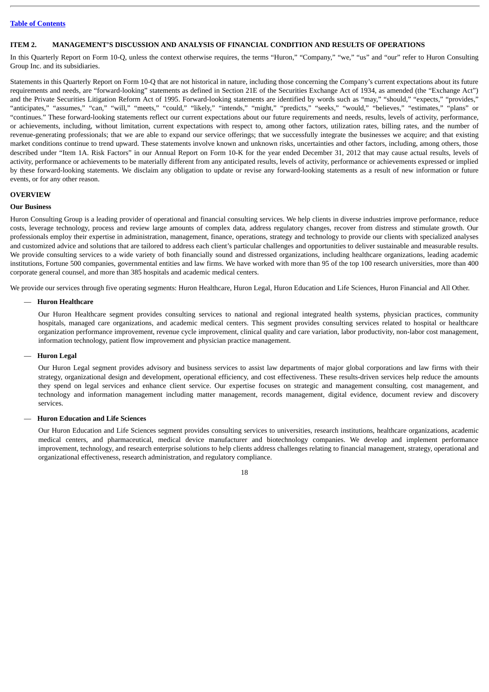#### <span id="page-19-0"></span>**ITEM 2. MANAGEMENT'S DISCUSSION AND ANALYSIS OF FINANCIAL CONDITION AND RESULTS OF OPERATIONS**

In this Quarterly Report on Form 10-Q, unless the context otherwise requires, the terms "Huron," "Company," "we," "us" and "our" refer to Huron Consulting Group Inc. and its subsidiaries.

Statements in this Quarterly Report on Form 10-Q that are not historical in nature, including those concerning the Company's current expectations about its future requirements and needs, are "forward-looking" statements as defined in Section 21E of the Securities Exchange Act of 1934, as amended (the "Exchange Act") and the Private Securities Litigation Reform Act of 1995. Forward-looking statements are identified by words such as "may," "should," "expects," "provides," "anticipates," "assumes," "can," "will," "meets," "could," "likely," "intends," "might," "predicts," "seeks," "would," "believes," "estimates," "plans" or "continues." These forward-looking statements reflect our current expectations about our future requirements and needs, results, levels of activity, performance, or achievements, including, without limitation, current expectations with respect to, among other factors, utilization rates, billing rates, and the number of revenue-generating professionals; that we are able to expand our service offerings; that we successfully integrate the businesses we acquire; and that existing market conditions continue to trend upward. These statements involve known and unknown risks, uncertainties and other factors, including, among others, those described under "Item 1A. Risk Factors" in our Annual Report on Form 10-K for the year ended December 31, 2012 that may cause actual results, levels of activity, performance or achievements to be materially different from any anticipated results, levels of activity, performance or achievements expressed or implied by these forward-looking statements. We disclaim any obligation to update or revise any forward-looking statements as a result of new information or future events, or for any other reason.

## **OVERVIEW**

#### **Our Business**

Huron Consulting Group is a leading provider of operational and financial consulting services. We help clients in diverse industries improve performance, reduce costs, leverage technology, process and review large amounts of complex data, address regulatory changes, recover from distress and stimulate growth. Our professionals employ their expertise in administration, management, finance, operations, strategy and technology to provide our clients with specialized analyses and customized advice and solutions that are tailored to address each client's particular challenges and opportunities to deliver sustainable and measurable results. We provide consulting services to a wide variety of both financially sound and distressed organizations, including healthcare organizations, leading academic institutions, Fortune 500 companies, governmental entities and law firms. We have worked with more than 95 of the top 100 research universities, more than 400 corporate general counsel, and more than 385 hospitals and academic medical centers.

We provide our services through five operating segments: Huron Healthcare, Huron Legal, Huron Education and Life Sciences, Huron Financial and All Other.

## — **Huron Healthcare**

Our Huron Healthcare segment provides consulting services to national and regional integrated health systems, physician practices, community hospitals, managed care organizations, and academic medical centers. This segment provides consulting services related to hospital or healthcare organization performance improvement, revenue cycle improvement, clinical quality and care variation, labor productivity, non-labor cost management, information technology, patient flow improvement and physician practice management.

#### — **Huron Legal**

Our Huron Legal segment provides advisory and business services to assist law departments of major global corporations and law firms with their strategy, organizational design and development, operational efficiency, and cost effectiveness. These results-driven services help reduce the amounts they spend on legal services and enhance client service. Our expertise focuses on strategic and management consulting, cost management, and technology and information management including matter management, records management, digital evidence, document review and discovery services.

#### — **Huron Education and Life Sciences**

Our Huron Education and Life Sciences segment provides consulting services to universities, research institutions, healthcare organizations, academic medical centers, and pharmaceutical, medical device manufacturer and biotechnology companies. We develop and implement performance improvement, technology, and research enterprise solutions to help clients address challenges relating to financial management, strategy, operational and organizational effectiveness, research administration, and regulatory compliance.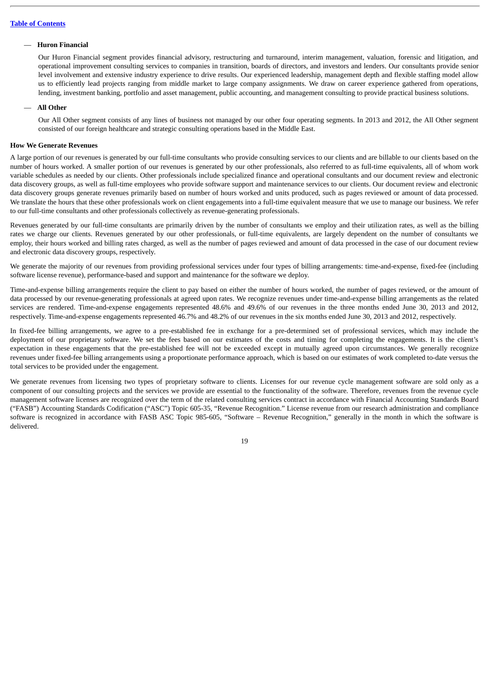#### — **Huron Financial**

Our Huron Financial segment provides financial advisory, restructuring and turnaround, interim management, valuation, forensic and litigation, and operational improvement consulting services to companies in transition, boards of directors, and investors and lenders. Our consultants provide senior level involvement and extensive industry experience to drive results. Our experienced leadership, management depth and flexible staffing model allow us to efficiently lead projects ranging from middle market to large company assignments. We draw on career experience gathered from operations, lending, investment banking, portfolio and asset management, public accounting, and management consulting to provide practical business solutions.

#### — **All Other**

Our All Other segment consists of any lines of business not managed by our other four operating segments. In 2013 and 2012, the All Other segment consisted of our foreign healthcare and strategic consulting operations based in the Middle East.

#### **How We Generate Revenues**

A large portion of our revenues is generated by our full-time consultants who provide consulting services to our clients and are billable to our clients based on the number of hours worked. A smaller portion of our revenues is generated by our other professionals, also referred to as full-time equivalents, all of whom work variable schedules as needed by our clients. Other professionals include specialized finance and operational consultants and our document review and electronic data discovery groups, as well as full-time employees who provide software support and maintenance services to our clients. Our document review and electronic data discovery groups generate revenues primarily based on number of hours worked and units produced, such as pages reviewed or amount of data processed. We translate the hours that these other professionals work on client engagements into a full-time equivalent measure that we use to manage our business. We refer to our full-time consultants and other professionals collectively as revenue-generating professionals.

Revenues generated by our full-time consultants are primarily driven by the number of consultants we employ and their utilization rates, as well as the billing rates we charge our clients. Revenues generated by our other professionals, or full-time equivalents, are largely dependent on the number of consultants we employ, their hours worked and billing rates charged, as well as the number of pages reviewed and amount of data processed in the case of our document review and electronic data discovery groups, respectively.

We generate the majority of our revenues from providing professional services under four types of billing arrangements: time-and-expense, fixed-fee (including software license revenue), performance-based and support and maintenance for the software we deploy.

Time-and-expense billing arrangements require the client to pay based on either the number of hours worked, the number of pages reviewed, or the amount of data processed by our revenue-generating professionals at agreed upon rates. We recognize revenues under time-and-expense billing arrangements as the related services are rendered. Time-and-expense engagements represented 48.6% and 49.6% of our revenues in the three months ended June 30, 2013 and 2012, respectively. Time-and-expense engagements represented 46.7% and 48.2% of our revenues in the six months ended June 30, 2013 and 2012, respectively.

In fixed-fee billing arrangements, we agree to a pre-established fee in exchange for a pre-determined set of professional services, which may include the deployment of our proprietary software. We set the fees based on our estimates of the costs and timing for completing the engagements. It is the client's expectation in these engagements that the pre-established fee will not be exceeded except in mutually agreed upon circumstances. We generally recognize revenues under fixed-fee billing arrangements using a proportionate performance approach, which is based on our estimates of work completed to-date versus the total services to be provided under the engagement.

We generate revenues from licensing two types of proprietary software to clients. Licenses for our revenue cycle management software are sold only as a component of our consulting projects and the services we provide are essential to the functionality of the software. Therefore, revenues from the revenue cycle management software licenses are recognized over the term of the related consulting services contract in accordance with Financial Accounting Standards Board ("FASB") Accounting Standards Codification ("ASC") Topic 605-35, "Revenue Recognition." License revenue from our research administration and compliance software is recognized in accordance with FASB ASC Topic 985-605, "Software – Revenue Recognition," generally in the month in which the software is delivered.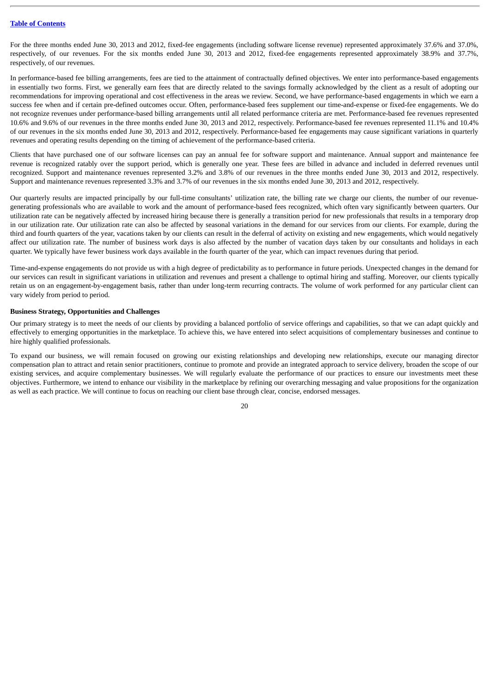For the three months ended June 30, 2013 and 2012, fixed-fee engagements (including software license revenue) represented approximately 37.6% and 37.0%, respectively, of our revenues. For the six months ended June 30, 2013 and 2012, fixed-fee engagements represented approximately 38.9% and 37.7%, respectively, of our revenues.

In performance-based fee billing arrangements, fees are tied to the attainment of contractually defined objectives. We enter into performance-based engagements in essentially two forms. First, we generally earn fees that are directly related to the savings formally acknowledged by the client as a result of adopting our recommendations for improving operational and cost effectiveness in the areas we review. Second, we have performance-based engagements in which we earn a success fee when and if certain pre-defined outcomes occur. Often, performance-based fees supplement our time-and-expense or fixed-fee engagements. We do not recognize revenues under performance-based billing arrangements until all related performance criteria are met. Performance-based fee revenues represented 10.6% and 9.6% of our revenues in the three months ended June 30, 2013 and 2012, respectively. Performance-based fee revenues represented 11.1% and 10.4% of our revenues in the six months ended June 30, 2013 and 2012, respectively. Performance-based fee engagements may cause significant variations in quarterly revenues and operating results depending on the timing of achievement of the performance-based criteria.

Clients that have purchased one of our software licenses can pay an annual fee for software support and maintenance. Annual support and maintenance fee revenue is recognized ratably over the support period, which is generally one year. These fees are billed in advance and included in deferred revenues until recognized. Support and maintenance revenues represented 3.2% and 3.8% of our revenues in the three months ended June 30, 2013 and 2012, respectively. Support and maintenance revenues represented 3.3% and 3.7% of our revenues in the six months ended June 30, 2013 and 2012, respectively.

Our quarterly results are impacted principally by our full-time consultants' utilization rate, the billing rate we charge our clients, the number of our revenuegenerating professionals who are available to work and the amount of performance-based fees recognized, which often vary significantly between quarters. Our utilization rate can be negatively affected by increased hiring because there is generally a transition period for new professionals that results in a temporary drop in our utilization rate. Our utilization rate can also be affected by seasonal variations in the demand for our services from our clients. For example, during the third and fourth quarters of the year, vacations taken by our clients can result in the deferral of activity on existing and new engagements, which would negatively affect our utilization rate. The number of business work days is also affected by the number of vacation days taken by our consultants and holidays in each quarter. We typically have fewer business work days available in the fourth quarter of the year, which can impact revenues during that period.

Time-and-expense engagements do not provide us with a high degree of predictability as to performance in future periods. Unexpected changes in the demand for our services can result in significant variations in utilization and revenues and present a challenge to optimal hiring and staffing. Moreover, our clients typically retain us on an engagement-by-engagement basis, rather than under long-term recurring contracts. The volume of work performed for any particular client can vary widely from period to period.

#### **Business Strategy, Opportunities and Challenges**

Our primary strategy is to meet the needs of our clients by providing a balanced portfolio of service offerings and capabilities, so that we can adapt quickly and effectively to emerging opportunities in the marketplace. To achieve this, we have entered into select acquisitions of complementary businesses and continue to hire highly qualified professionals.

To expand our business, we will remain focused on growing our existing relationships and developing new relationships, execute our managing director compensation plan to attract and retain senior practitioners, continue to promote and provide an integrated approach to service delivery, broaden the scope of our existing services, and acquire complementary businesses. We will regularly evaluate the performance of our practices to ensure our investments meet these objectives. Furthermore, we intend to enhance our visibility in the marketplace by refining our overarching messaging and value propositions for the organization as well as each practice. We will continue to focus on reaching our client base through clear, concise, endorsed messages.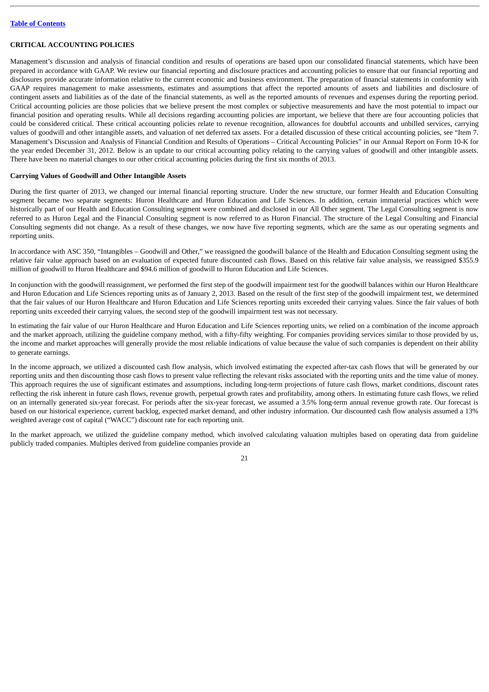## **CRITICAL ACCOUNTING POLICIES**

Management's discussion and analysis of financial condition and results of operations are based upon our consolidated financial statements, which have been prepared in accordance with GAAP. We review our financial reporting and disclosure practices and accounting policies to ensure that our financial reporting and disclosures provide accurate information relative to the current economic and business environment. The preparation of financial statements in conformity with GAAP requires management to make assessments, estimates and assumptions that affect the reported amounts of assets and liabilities and disclosure of contingent assets and liabilities as of the date of the financial statements, as well as the reported amounts of revenues and expenses during the reporting period. Critical accounting policies are those policies that we believe present the most complex or subjective measurements and have the most potential to impact our financial position and operating results. While all decisions regarding accounting policies are important, we believe that there are four accounting policies that could be considered critical. These critical accounting policies relate to revenue recognition, allowances for doubtful accounts and unbilled services, carrying values of goodwill and other intangible assets, and valuation of net deferred tax assets. For a detailed discussion of these critical accounting policies, see "Item 7. Management's Discussion and Analysis of Financial Condition and Results of Operations – Critical Accounting Policies" in our Annual Report on Form 10-K for the year ended December 31, 2012. Below is an update to our critical accounting policy relating to the carrying values of goodwill and other intangible assets. There have been no material changes to our other critical accounting policies during the first six months of 2013.

#### **Carrying Values of Goodwill and Other Intangible Assets**

During the first quarter of 2013, we changed our internal financial reporting structure. Under the new structure, our former Health and Education Consulting segment became two separate segments: Huron Healthcare and Huron Education and Life Sciences. In addition, certain immaterial practices which were historically part of our Health and Education Consulting segment were combined and disclosed in our All Other segment. The Legal Consulting segment is now referred to as Huron Legal and the Financial Consulting segment is now referred to as Huron Financial. The structure of the Legal Consulting and Financial Consulting segments did not change. As a result of these changes, we now have five reporting segments, which are the same as our operating segments and reporting units.

In accordance with ASC 350, "Intangibles – Goodwill and Other," we reassigned the goodwill balance of the Health and Education Consulting segment using the relative fair value approach based on an evaluation of expected future discounted cash flows. Based on this relative fair value analysis, we reassigned \$355.9 million of goodwill to Huron Healthcare and \$94.6 million of goodwill to Huron Education and Life Sciences.

In conjunction with the goodwill reassignment, we performed the first step of the goodwill impairment test for the goodwill balances within our Huron Healthcare and Huron Education and Life Sciences reporting units as of January 2, 2013. Based on the result of the first step of the goodwill impairment test, we determined that the fair values of our Huron Healthcare and Huron Education and Life Sciences reporting units exceeded their carrying values. Since the fair values of both reporting units exceeded their carrying values, the second step of the goodwill impairment test was not necessary.

In estimating the fair value of our Huron Healthcare and Huron Education and Life Sciences reporting units, we relied on a combination of the income approach and the market approach, utilizing the guideline company method, with a fifty-fifty weighting. For companies providing services similar to those provided by us, the income and market approaches will generally provide the most reliable indications of value because the value of such companies is dependent on their ability to generate earnings.

In the income approach, we utilized a discounted cash flow analysis, which involved estimating the expected after-tax cash flows that will be generated by our reporting units and then discounting those cash flows to present value reflecting the relevant risks associated with the reporting units and the time value of money. This approach requires the use of significant estimates and assumptions, including long-term projections of future cash flows, market conditions, discount rates reflecting the risk inherent in future cash flows, revenue growth, perpetual growth rates and profitability, among others. In estimating future cash flows, we relied on an internally generated six-year forecast. For periods after the six-year forecast, we assumed a 3.5% long-term annual revenue growth rate. Our forecast is based on our historical experience, current backlog, expected market demand, and other industry information. Our discounted cash flow analysis assumed a 13% weighted average cost of capital ("WACC") discount rate for each reporting unit.

In the market approach, we utilized the guideline company method, which involved calculating valuation multiples based on operating data from guideline publicly traded companies. Multiples derived from guideline companies provide an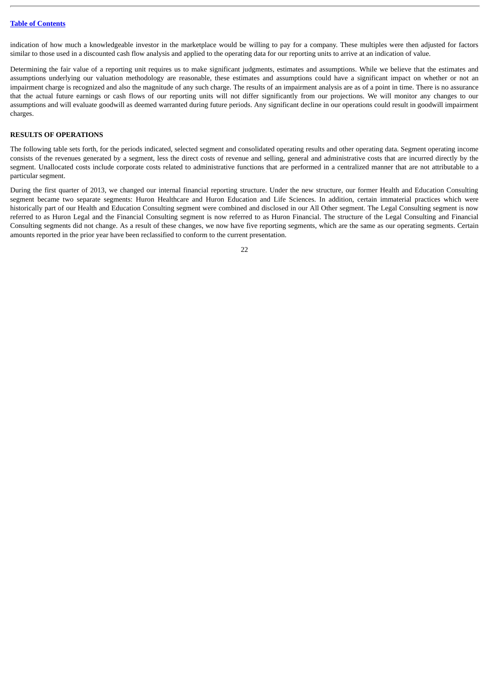indication of how much a knowledgeable investor in the marketplace would be willing to pay for a company. These multiples were then adjusted for factors similar to those used in a discounted cash flow analysis and applied to the operating data for our reporting units to arrive at an indication of value.

Determining the fair value of a reporting unit requires us to make significant judgments, estimates and assumptions. While we believe that the estimates and assumptions underlying our valuation methodology are reasonable, these estimates and assumptions could have a significant impact on whether or not an impairment charge is recognized and also the magnitude of any such charge. The results of an impairment analysis are as of a point in time. There is no assurance that the actual future earnings or cash flows of our reporting units will not differ significantly from our projections. We will monitor any changes to our assumptions and will evaluate goodwill as deemed warranted during future periods. Any significant decline in our operations could result in goodwill impairment charges.

#### **RESULTS OF OPERATIONS**

The following table sets forth, for the periods indicated, selected segment and consolidated operating results and other operating data. Segment operating income consists of the revenues generated by a segment, less the direct costs of revenue and selling, general and administrative costs that are incurred directly by the segment. Unallocated costs include corporate costs related to administrative functions that are performed in a centralized manner that are not attributable to a particular segment.

During the first quarter of 2013, we changed our internal financial reporting structure. Under the new structure, our former Health and Education Consulting segment became two separate segments: Huron Healthcare and Huron Education and Life Sciences. In addition, certain immaterial practices which were historically part of our Health and Education Consulting segment were combined and disclosed in our All Other segment. The Legal Consulting segment is now referred to as Huron Legal and the Financial Consulting segment is now referred to as Huron Financial. The structure of the Legal Consulting and Financial Consulting segments did not change. As a result of these changes, we now have five reporting segments, which are the same as our operating segments. Certain amounts reported in the prior year have been reclassified to conform to the current presentation.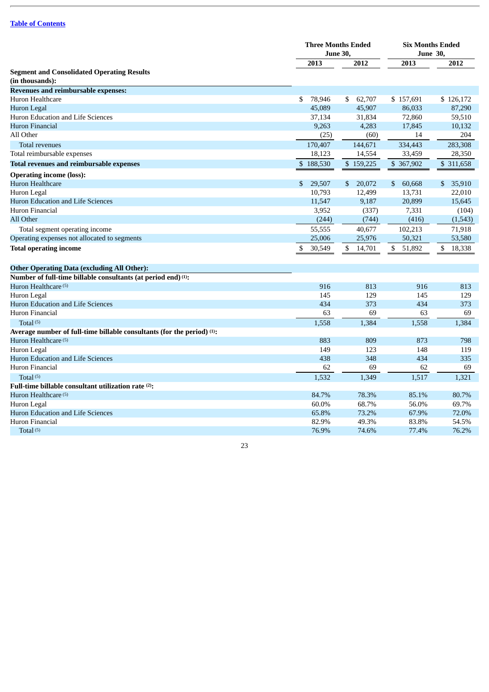|                                                                           |              | Three Months Ended<br><b>June 30,</b> | <b>Six Months Ended</b><br>June 30, |              |
|---------------------------------------------------------------------------|--------------|---------------------------------------|-------------------------------------|--------------|
|                                                                           | 2013         | 2012                                  | 2013                                | 2012         |
| <b>Segment and Consolidated Operating Results</b>                         |              |                                       |                                     |              |
| (in thousands):                                                           |              |                                       |                                     |              |
| <b>Revenues and reimbursable expenses:</b>                                |              |                                       |                                     |              |
| Huron Healthcare                                                          | \$<br>78,946 | 62,707<br>\$                          | \$157,691                           | \$126,172    |
| <b>Huron Legal</b>                                                        | 45,089       | 45,907                                | 86,033                              | 87,290       |
| Huron Education and Life Sciences                                         | 37,134       | 31,834                                | 72,860                              | 59,510       |
| <b>Huron Financial</b>                                                    | 9,263        | 4,283                                 | 17,845                              | 10,132       |
| All Other                                                                 | (25)         | (60)                                  | 14                                  | 204          |
| <b>Total revenues</b>                                                     | 170,407      | 144,671                               | 334,443                             | 283,308      |
| Total reimbursable expenses                                               | 18,123       | 14,554                                | 33,459                              | 28,350       |
| <b>Total revenues and reimbursable expenses</b>                           | \$188,530    | \$159,225                             | \$367,902                           | \$ 311,658   |
| <b>Operating income (loss):</b>                                           |              |                                       |                                     |              |
| <b>Huron Healthcare</b>                                                   | \$<br>29,507 | $\mathbb{S}$<br>20,072                | $\mathbb{S}$<br>60,668              | \$35,910     |
| Huron Legal                                                               | 10,793       | 12,499                                | 13,731                              | 22,010       |
| <b>Huron Education and Life Sciences</b>                                  | 11,547       | 9,187                                 | 20,899                              | 15,645       |
| Huron Financial                                                           | 3,952        | (337)                                 | 7,331                               | (104)        |
| All Other                                                                 | (244)        | (744)                                 | (416)                               | (1,543)      |
| Total segment operating income                                            | 55,555       | 40,677                                | 102,213                             | 71,918       |
| Operating expenses not allocated to segments                              | 25,006       | 25,976                                | 50,321                              | 53,580       |
| <b>Total operating income</b>                                             | \$<br>30,549 | \$<br>14,701                          | \$<br>51,892                        | \$<br>18,338 |
|                                                                           |              |                                       |                                     |              |
| <b>Other Operating Data (excluding All Other):</b>                        |              |                                       |                                     |              |
| Number of full-time billable consultants (at period end) <sup>(1)</sup> : |              |                                       |                                     |              |
| Huron Healthcare <sup>(5)</sup>                                           | 916          | 813                                   | 916                                 | 813          |
| Huron Legal                                                               | 145          | 129                                   | 145                                 | 129          |
| <b>Huron Education and Life Sciences</b>                                  | 434          | 373                                   | 434                                 | 373          |
| Huron Financial                                                           | 63           | 69                                    | 63                                  | 69           |
| Total $(5)$                                                               | 1,558        | 1,384                                 | 1,558                               | 1,384        |
| Average number of full-time billable consultants (for the period) (1):    |              |                                       |                                     |              |
| Huron Healthcare <sup>(5)</sup>                                           | 883          | 809                                   | 873                                 | 798          |
| Huron Legal                                                               | 149          | 123                                   | 148                                 | 119          |
| <b>Huron Education and Life Sciences</b>                                  | 438          | 348                                   | 434                                 | 335          |
| Huron Financial                                                           | 62           | 69                                    | 62                                  | 69           |
| Total $(5)$                                                               | 1,532        | 1,349                                 | 1,517                               | 1,321        |
| Full-time billable consultant utilization rate (2):                       |              |                                       |                                     |              |
| Huron Healthcare <sup>(5)</sup>                                           | 84.7%        | 78.3%                                 | 85.1%                               | 80.7%        |
| Huron Legal                                                               | 60.0%        | 68.7%                                 | 56.0%                               | 69.7%        |
| <b>Huron Education and Life Sciences</b>                                  | 65.8%        | 73.2%                                 | 67.9%                               | 72.0%        |
| Huron Financial                                                           | 82.9%        | 49.3%                                 | 83.8%                               | 54.5%        |
| Total $(5)$                                                               | 76.9%        | 74.6%                                 | 77.4%                               | 76.2%        |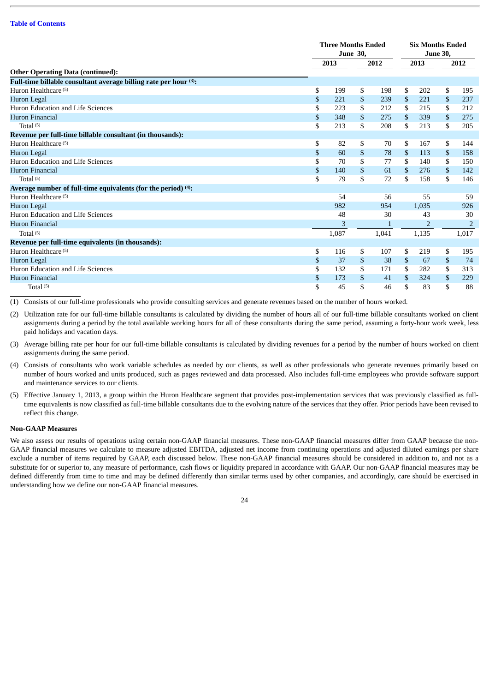|                                                                  | <b>Three Months Ended</b><br><b>June 30,</b> |    |              | <b>Six Months Ended</b><br><b>June 30,</b> |                |      |                |
|------------------------------------------------------------------|----------------------------------------------|----|--------------|--------------------------------------------|----------------|------|----------------|
|                                                                  | 2013                                         |    | 2012         | 2013                                       |                | 2012 |                |
| <b>Other Operating Data (continued):</b>                         |                                              |    |              |                                            |                |      |                |
| Full-time billable consultant average billing rate per hour (3): |                                              |    |              |                                            |                |      |                |
| Huron Healthcare <sup>(5)</sup>                                  | \$<br>199                                    | \$ | 198          | \$                                         | 202            | \$   | 195            |
| <b>Huron Legal</b>                                               | \$<br>221                                    | \$ | 239          | \$                                         | 221            | \$   | 237            |
| Huron Education and Life Sciences                                | \$<br>223                                    | S. | 212          | S                                          | 215            | \$   | 212            |
| <b>Huron Financial</b>                                           | \$<br>348                                    | \$ | 275          | \$                                         | 339            | \$   | 275            |
| Total $(5)$                                                      | \$<br>213                                    | \$ | 208          | \$                                         | 213            | \$   | 205            |
| Revenue per full-time billable consultant (in thousands):        |                                              |    |              |                                            |                |      |                |
| Huron Healthcare <sup>(5)</sup>                                  | \$<br>82                                     | \$ | 70           | S                                          | 167            | \$   | 144            |
| Huron Legal                                                      | \$<br>60                                     | \$ | 78           | \$                                         | 113            | \$   | 158            |
| Huron Education and Life Sciences                                | \$<br>70                                     | \$ | 77           | S                                          | 140            | \$   | 150            |
| Huron Financial                                                  | \$<br>140                                    | \$ | 61           | \$                                         | 276            | \$   | 142            |
| Total $(5)$                                                      | \$<br>79                                     | \$ | 72           | \$                                         | 158            | \$   | 146            |
| Average number of full-time equivalents (for the period) (4):    |                                              |    |              |                                            |                |      |                |
| Huron Healthcare <sup>(5)</sup>                                  | 54                                           |    | 56           |                                            | 55             |      | 59             |
| Huron Legal                                                      | 982                                          |    | 954          |                                            | 1,035          |      | 926            |
| Huron Education and Life Sciences                                | 48                                           |    | 30           |                                            | 43             |      | 30             |
| Huron Financial                                                  | 3                                            |    | $\mathbf{1}$ |                                            | $\overline{2}$ |      | $\overline{2}$ |
| Total $(5)$                                                      | 1,087                                        |    | 1,041        |                                            | 1,135          |      | 1,017          |
| Revenue per full-time equivalents (in thousands):                |                                              |    |              |                                            |                |      |                |
| Huron Healthcare <sup>(5)</sup>                                  | \$<br>116                                    | \$ | 107          | \$                                         | 219            | \$   | 195            |
| <b>Huron Legal</b>                                               | \$<br>37                                     | \$ | 38           | \$                                         | 67             | \$   | 74             |
| Huron Education and Life Sciences                                | \$<br>132                                    | \$ | 171          | S                                          | 282            | \$   | 313            |
| <b>Huron Financial</b>                                           | \$<br>173                                    | \$ | 41           | \$                                         | 324            | \$   | 229            |
| Total $(5)$                                                      | \$<br>45                                     | \$ | 46           | \$                                         | 83             | \$   | 88             |

(1) Consists of our full-time professionals who provide consulting services and generate revenues based on the number of hours worked.

(2) Utilization rate for our full-time billable consultants is calculated by dividing the number of hours all of our full-time billable consultants worked on client assignments during a period by the total available working hours for all of these consultants during the same period, assuming a forty-hour work week, less paid holidays and vacation days.

- (3) Average billing rate per hour for our full-time billable consultants is calculated by dividing revenues for a period by the number of hours worked on client assignments during the same period.
- (4) Consists of consultants who work variable schedules as needed by our clients, as well as other professionals who generate revenues primarily based on number of hours worked and units produced, such as pages reviewed and data processed. Also includes full-time employees who provide software support and maintenance services to our clients.
- (5) Effective January 1, 2013, a group within the Huron Healthcare segment that provides post-implementation services that was previously classified as fulltime equivalents is now classified as full-time billable consultants due to the evolving nature of the services that they offer. Prior periods have been revised to reflect this change.

#### **Non-GAAP Measures**

We also assess our results of operations using certain non-GAAP financial measures. These non-GAAP financial measures differ from GAAP because the non-GAAP financial measures we calculate to measure adjusted EBITDA, adjusted net income from continuing operations and adjusted diluted earnings per share exclude a number of items required by GAAP, each discussed below. These non-GAAP financial measures should be considered in addition to, and not as a substitute for or superior to, any measure of performance, cash flows or liquidity prepared in accordance with GAAP. Our non-GAAP financial measures may be defined differently from time to time and may be defined differently than similar terms used by other companies, and accordingly, care should be exercised in understanding how we define our non-GAAP financial measures.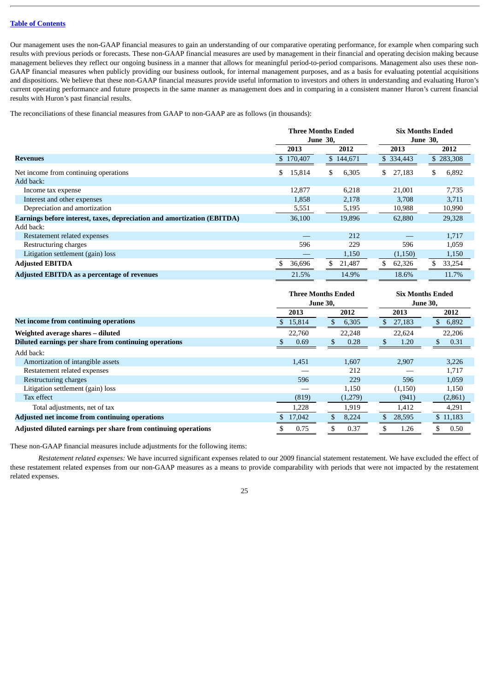Our management uses the non-GAAP financial measures to gain an understanding of our comparative operating performance, for example when comparing such results with previous periods or forecasts. These non-GAAP financial measures are used by management in their financial and operating decision making because management believes they reflect our ongoing business in a manner that allows for meaningful period-to-period comparisons. Management also uses these non-GAAP financial measures when publicly providing our business outlook, for internal management purposes, and as a basis for evaluating potential acquisitions and dispositions. We believe that these non-GAAP financial measures provide useful information to investors and others in understanding and evaluating Huron's current operating performance and future prospects in the same manner as management does and in comparing in a consistent manner Huron's current financial results with Huron's past financial results.

The reconciliations of these financial measures from GAAP to non-GAAP are as follows (in thousands):

|                                                                         |              | <b>Three Months Ended</b><br><b>June 30,</b> |              | <b>Six Months Ended</b><br><b>June 30,</b> |
|-------------------------------------------------------------------------|--------------|----------------------------------------------|--------------|--------------------------------------------|
|                                                                         | 2013         | 2012                                         | 2013         | 2012                                       |
| <b>Revenues</b>                                                         | \$170,407    | \$144,671                                    | \$ 334,443   | \$283,308                                  |
| Net income from continuing operations                                   | 15,814<br>\$ | 6,305<br>\$                                  | 27,183<br>S. | 6,892<br>\$                                |
| Add back:                                                               |              |                                              |              |                                            |
| Income tax expense                                                      | 12,877       | 6,218                                        | 21,001       | 7,735                                      |
| Interest and other expenses                                             | 1,858        | 2,178                                        | 3,708        | 3,711                                      |
| Depreciation and amortization                                           | 5,551        | 5,195                                        | 10,988       | 10,990                                     |
| Earnings before interest, taxes, depreciation and amortization (EBITDA) | 36,100       | 19,896                                       | 62,880       | 29,328                                     |
| Add back:                                                               |              |                                              |              |                                            |
| Restatement related expenses                                            |              | 212                                          |              | 1,717                                      |
| Restructuring charges                                                   | 596          | 229                                          | 596          | 1,059                                      |
| Litigation settlement (gain) loss                                       |              | 1,150                                        | (1,150)      | 1,150                                      |
| <b>Adjusted EBITDA</b>                                                  | 36,696       | 21,487                                       | 62,326       | 33,254                                     |
| <b>Adjusted EBITDA as a percentage of revenues</b>                      | 21.5%        | 14.9%                                        | 18.6%        | 11.7%                                      |

|                                                                |               | <b>Three Months Ended</b><br><b>June 30,</b> | <b>Six Months Ended</b><br><b>June 30,</b> |             |
|----------------------------------------------------------------|---------------|----------------------------------------------|--------------------------------------------|-------------|
|                                                                | 2013          | 2012                                         | 2013                                       | 2012        |
| Net income from continuing operations                          | 15,814<br>S.  | 6,305                                        | 27,183<br>\$.                              | 6,892       |
| Weighted average shares - diluted                              | 22,760        | 22,248                                       | 22,624                                     | 22,206      |
| Diluted earnings per share from continuing operations          | 0.69          | 0.28                                         | 1.20<br>S.                                 | 0.31        |
| Add back:                                                      |               |                                              |                                            |             |
| Amortization of intangible assets                              | 1,451         | 1,607                                        | 2,907                                      | 3,226       |
| Restatement related expenses                                   |               | 212                                          |                                            | 1,717       |
| Restructuring charges                                          | 596           | 229                                          | 596                                        | 1,059       |
| Litigation settlement (gain) loss                              |               | 1,150                                        | (1,150)                                    | 1,150       |
| Tax effect                                                     | (819)         | (1,279)                                      | (941)                                      | (2,861)     |
| Total adjustments, net of tax                                  | 1,228         | 1,919                                        | 1,412                                      | 4,291       |
| Adjusted net income from continuing operations                 | 17,042<br>\$. | 8,224                                        | 28,595<br>\$                               | \$11,183    |
| Adjusted diluted earnings per share from continuing operations | 0.75          | 0.37                                         | 1.26                                       | 0.50<br>Эħ. |

These non-GAAP financial measures include adjustments for the following items:

*Restatement related expenses:* We have incurred significant expenses related to our 2009 financial statement restatement. We have excluded the effect of these restatement related expenses from our non-GAAP measures as a means to provide comparability with periods that were not impacted by the restatement related expenses.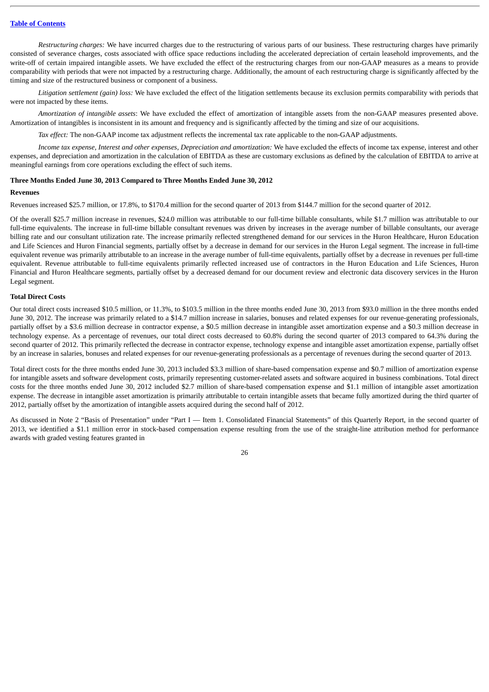*Restructuring charges:* We have incurred charges due to the restructuring of various parts of our business. These restructuring charges have primarily consisted of severance charges, costs associated with office space reductions including the accelerated depreciation of certain leasehold improvements, and the write-off of certain impaired intangible assets. We have excluded the effect of the restructuring charges from our non-GAAP measures as a means to provide comparability with periods that were not impacted by a restructuring charge. Additionally, the amount of each restructuring charge is significantly affected by the timing and size of the restructured business or component of a business.

*Litigation settlement (gain) loss:* We have excluded the effect of the litigation settlements because its exclusion permits comparability with periods that were not impacted by these items.

*Amortization of intangible assets*: We have excluded the effect of amortization of intangible assets from the non-GAAP measures presented above. Amortization of intangibles is inconsistent in its amount and frequency and is significantly affected by the timing and size of our acquisitions.

*Tax effect:* The non-GAAP income tax adjustment reflects the incremental tax rate applicable to the non-GAAP adjustments.

*Income tax expense, Interest and other expenses, Depreciation and amortization:* We have excluded the effects of income tax expense, interest and other expenses, and depreciation and amortization in the calculation of EBITDA as these are customary exclusions as defined by the calculation of EBITDA to arrive at meaningful earnings from core operations excluding the effect of such items.

#### **Three Months Ended June 30, 2013 Compared to Three Months Ended June 30, 2012**

#### **Revenues**

Revenues increased \$25.7 million, or 17.8%, to \$170.4 million for the second quarter of 2013 from \$144.7 million for the second quarter of 2012.

Of the overall \$25.7 million increase in revenues, \$24.0 million was attributable to our full-time billable consultants, while \$1.7 million was attributable to our full-time equivalents. The increase in full-time billable consultant revenues was driven by increases in the average number of billable consultants, our average billing rate and our consultant utilization rate. The increase primarily reflected strengthened demand for our services in the Huron Healthcare, Huron Education and Life Sciences and Huron Financial segments, partially offset by a decrease in demand for our services in the Huron Legal segment. The increase in full-time equivalent revenue was primarily attributable to an increase in the average number of full-time equivalents, partially offset by a decrease in revenues per full-time equivalent. Revenue attributable to full-time equivalents primarily reflected increased use of contractors in the Huron Education and Life Sciences, Huron Financial and Huron Healthcare segments, partially offset by a decreased demand for our document review and electronic data discovery services in the Huron Legal segment.

#### **Total Direct Costs**

Our total direct costs increased \$10.5 million, or 11.3%, to \$103.5 million in the three months ended June 30, 2013 from \$93.0 million in the three months ended June 30, 2012. The increase was primarily related to a \$14.7 million increase in salaries, bonuses and related expenses for our revenue-generating professionals, partially offset by a \$3.6 million decrease in contractor expense, a \$0.5 million decrease in intangible asset amortization expense and a \$0.3 million decrease in technology expense. As a percentage of revenues, our total direct costs decreased to 60.8% during the second quarter of 2013 compared to 64.3% during the second quarter of 2012. This primarily reflected the decrease in contractor expense, technology expense and intangible asset amortization expense, partially offset by an increase in salaries, bonuses and related expenses for our revenue-generating professionals as a percentage of revenues during the second quarter of 2013.

Total direct costs for the three months ended June 30, 2013 included \$3.3 million of share-based compensation expense and \$0.7 million of amortization expense for intangible assets and software development costs, primarily representing customer-related assets and software acquired in business combinations. Total direct costs for the three months ended June 30, 2012 included \$2.7 million of share-based compensation expense and \$1.1 million of intangible asset amortization expense. The decrease in intangible asset amortization is primarily attributable to certain intangible assets that became fully amortized during the third quarter of 2012, partially offset by the amortization of intangible assets acquired during the second half of 2012.

As discussed in Note 2 "Basis of Presentation" under "Part I — Item 1. Consolidated Financial Statements" of this Quarterly Report, in the second quarter of 2013, we identified a \$1.1 million error in stock-based compensation expense resulting from the use of the straight-line attribution method for performance awards with graded vesting features granted in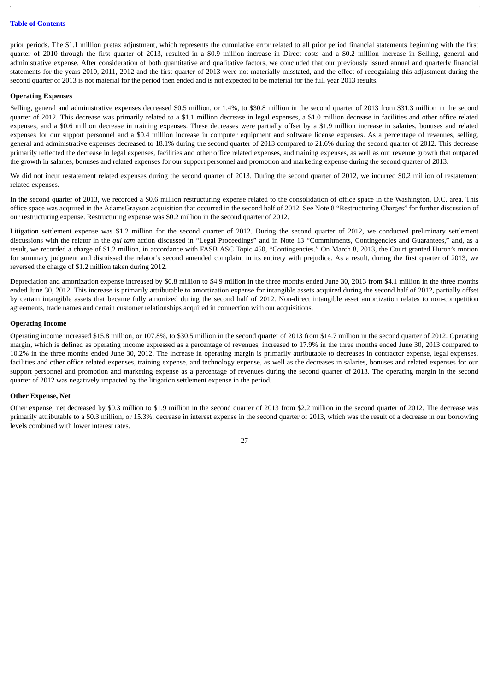prior periods. The \$1.1 million pretax adjustment, which represents the cumulative error related to all prior period financial statements beginning with the first quarter of 2010 through the first quarter of 2013, resulted in a \$0.9 million increase in Direct costs and a \$0.2 million increase in Selling, general and administrative expense. After consideration of both quantitative and qualitative factors, we concluded that our previously issued annual and quarterly financial statements for the years 2010, 2011, 2012 and the first quarter of 2013 were not materially misstated, and the effect of recognizing this adjustment during the second quarter of 2013 is not material for the period then ended and is not expected to be material for the full year 2013 results.

#### **Operating Expenses**

Selling, general and administrative expenses decreased \$0.5 million, or 1.4%, to \$30.8 million in the second quarter of 2013 from \$31.3 million in the second quarter of 2012. This decrease was primarily related to a \$1.1 million decrease in legal expenses, a \$1.0 million decrease in facilities and other office related expenses, and a \$0.6 million decrease in training expenses. These decreases were partially offset by a \$1.9 million increase in salaries, bonuses and related expenses for our support personnel and a \$0.4 million increase in computer equipment and software license expenses. As a percentage of revenues, selling, general and administrative expenses decreased to 18.1% during the second quarter of 2013 compared to 21.6% during the second quarter of 2012. This decrease primarily reflected the decrease in legal expenses, facilities and other office related expenses, and training expenses, as well as our revenue growth that outpaced the growth in salaries, bonuses and related expenses for our support personnel and promotion and marketing expense during the second quarter of 2013.

We did not incur restatement related expenses during the second quarter of 2013. During the second quarter of 2012, we incurred \$0.2 million of restatement related expenses.

In the second quarter of 2013, we recorded a \$0.6 million restructuring expense related to the consolidation of office space in the Washington, D.C. area. This office space was acquired in the AdamsGrayson acquisition that occurred in the second half of 2012. See Note 8 "Restructuring Charges" for further discussion of our restructuring expense. Restructuring expense was \$0.2 million in the second quarter of 2012.

Litigation settlement expense was \$1.2 million for the second quarter of 2012. During the second quarter of 2012, we conducted preliminary settlement discussions with the relator in the *qui tam* action discussed in "Legal Proceedings" and in Note 13 "Commitments, Contingencies and Guarantees," and, as a result, we recorded a charge of \$1.2 million, in accordance with FASB ASC Topic 450, "Contingencies." On March 8, 2013, the Court granted Huron's motion for summary judgment and dismissed the relator's second amended complaint in its entirety with prejudice. As a result, during the first quarter of 2013, we reversed the charge of \$1.2 million taken during 2012.

Depreciation and amortization expense increased by \$0.8 million to \$4.9 million in the three months ended June 30, 2013 from \$4.1 million in the three months ended June 30, 2012. This increase is primarily attributable to amortization expense for intangible assets acquired during the second half of 2012, partially offset by certain intangible assets that became fully amortized during the second half of 2012. Non-direct intangible asset amortization relates to non-competition agreements, trade names and certain customer relationships acquired in connection with our acquisitions.

#### **Operating Income**

Operating income increased \$15.8 million, or 107.8%, to \$30.5 million in the second quarter of 2013 from \$14.7 million in the second quarter of 2012. Operating margin, which is defined as operating income expressed as a percentage of revenues, increased to 17.9% in the three months ended June 30, 2013 compared to 10.2% in the three months ended June 30, 2012. The increase in operating margin is primarily attributable to decreases in contractor expense, legal expenses, facilities and other office related expenses, training expense, and technology expense, as well as the decreases in salaries, bonuses and related expenses for our support personnel and promotion and marketing expense as a percentage of revenues during the second quarter of 2013. The operating margin in the second quarter of 2012 was negatively impacted by the litigation settlement expense in the period.

#### **Other Expense, Net**

Other expense, net decreased by \$0.3 million to \$1.9 million in the second quarter of 2013 from \$2.2 million in the second quarter of 2012. The decrease was primarily attributable to a \$0.3 million, or 15.3%, decrease in interest expense in the second quarter of 2013, which was the result of a decrease in our borrowing levels combined with lower interest rates.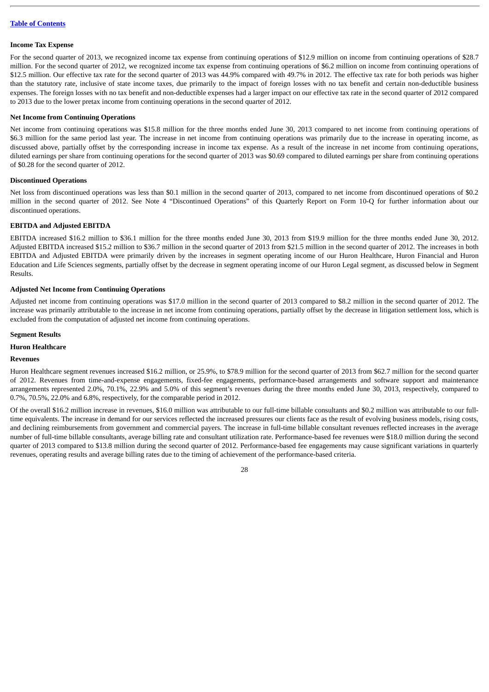#### **Income Tax Expense**

For the second quarter of 2013, we recognized income tax expense from continuing operations of \$12.9 million on income from continuing operations of \$28.7 million. For the second quarter of 2012, we recognized income tax expense from continuing operations of \$6.2 million on income from continuing operations of \$12.5 million. Our effective tax rate for the second quarter of 2013 was 44.9% compared with 49.7% in 2012. The effective tax rate for both periods was higher than the statutory rate, inclusive of state income taxes, due primarily to the impact of foreign losses with no tax benefit and certain non-deductible business expenses. The foreign losses with no tax benefit and non-deductible expenses had a larger impact on our effective tax rate in the second quarter of 2012 compared to 2013 due to the lower pretax income from continuing operations in the second quarter of 2012.

#### **Net Income from Continuing Operations**

Net income from continuing operations was \$15.8 million for the three months ended June 30, 2013 compared to net income from continuing operations of \$6.3 million for the same period last year. The increase in net income from continuing operations was primarily due to the increase in operating income, as discussed above, partially offset by the corresponding increase in income tax expense. As a result of the increase in net income from continuing operations, diluted earnings per share from continuing operations for the second quarter of 2013 was \$0.69 compared to diluted earnings per share from continuing operations of \$0.28 for the second quarter of 2012.

#### **Discontinued Operations**

Net loss from discontinued operations was less than \$0.1 million in the second quarter of 2013, compared to net income from discontinued operations of \$0.2 million in the second quarter of 2012. See Note 4 "Discontinued Operations" of this Quarterly Report on Form 10-Q for further information about our discontinued operations.

#### **EBITDA and Adjusted EBITDA**

EBITDA increased \$16.2 million to \$36.1 million for the three months ended June 30, 2013 from \$19.9 million for the three months ended June 30, 2012. Adjusted EBITDA increased \$15.2 million to \$36.7 million in the second quarter of 2013 from \$21.5 million in the second quarter of 2012. The increases in both EBITDA and Adjusted EBITDA were primarily driven by the increases in segment operating income of our Huron Healthcare, Huron Financial and Huron Education and Life Sciences segments, partially offset by the decrease in segment operating income of our Huron Legal segment, as discussed below in Segment Results.

#### **Adjusted Net Income from Continuing Operations**

Adjusted net income from continuing operations was \$17.0 million in the second quarter of 2013 compared to \$8.2 million in the second quarter of 2012. The increase was primarily attributable to the increase in net income from continuing operations, partially offset by the decrease in litigation settlement loss, which is excluded from the computation of adjusted net income from continuing operations.

#### **Segment Results**

#### **Huron Healthcare**

#### **Revenues**

Huron Healthcare segment revenues increased \$16.2 million, or 25.9%, to \$78.9 million for the second quarter of 2013 from \$62.7 million for the second quarter of 2012. Revenues from time-and-expense engagements, fixed-fee engagements, performance-based arrangements and software support and maintenance arrangements represented 2.0%, 70.1%, 22.9% and 5.0% of this segment's revenues during the three months ended June 30, 2013, respectively, compared to 0.7%, 70.5%, 22.0% and 6.8%, respectively, for the comparable period in 2012.

Of the overall \$16.2 million increase in revenues, \$16.0 million was attributable to our full-time billable consultants and \$0.2 million was attributable to our fulltime equivalents. The increase in demand for our services reflected the increased pressures our clients face as the result of evolving business models, rising costs, and declining reimbursements from government and commercial payers. The increase in full-time billable consultant revenues reflected increases in the average number of full-time billable consultants, average billing rate and consultant utilization rate. Performance-based fee revenues were \$18.0 million during the second quarter of 2013 compared to \$13.8 million during the second quarter of 2012. Performance-based fee engagements may cause significant variations in quarterly revenues, operating results and average billing rates due to the timing of achievement of the performance-based criteria.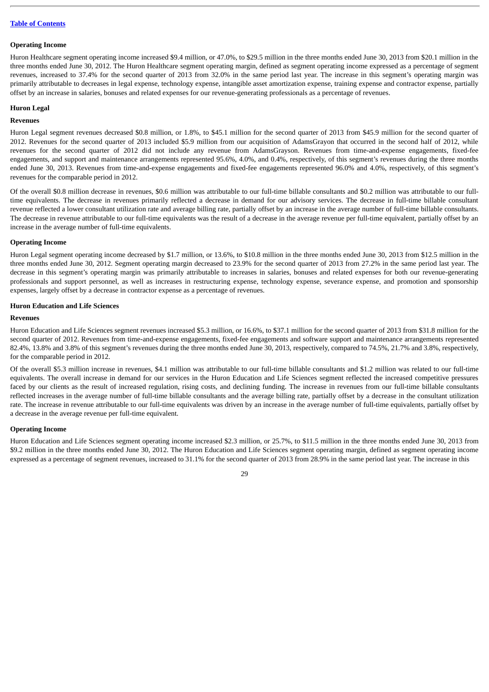#### **Operating Income**

Huron Healthcare segment operating income increased \$9.4 million, or 47.0%, to \$29.5 million in the three months ended June 30, 2013 from \$20.1 million in the three months ended June 30, 2012. The Huron Healthcare segment operating margin, defined as segment operating income expressed as a percentage of segment revenues, increased to 37.4% for the second quarter of 2013 from 32.0% in the same period last year. The increase in this segment's operating margin was primarily attributable to decreases in legal expense, technology expense, intangible asset amortization expense, training expense and contractor expense, partially offset by an increase in salaries, bonuses and related expenses for our revenue-generating professionals as a percentage of revenues.

#### **Huron Legal**

#### **Revenues**

Huron Legal segment revenues decreased \$0.8 million, or 1.8%, to \$45.1 million for the second quarter of 2013 from \$45.9 million for the second quarter of 2012. Revenues for the second quarter of 2013 included \$5.9 million from our acquisition of AdamsGrayon that occurred in the second half of 2012, while revenues for the second quarter of 2012 did not include any revenue from AdamsGrayson. Revenues from time-and-expense engagements, fixed-fee engagements, and support and maintenance arrangements represented 95.6%, 4.0%, and 0.4%, respectively, of this segment's revenues during the three months ended June 30, 2013. Revenues from time-and-expense engagements and fixed-fee engagements represented 96.0% and 4.0%, respectively, of this segment's revenues for the comparable period in 2012.

Of the overall \$0.8 million decrease in revenues, \$0.6 million was attributable to our full-time billable consultants and \$0.2 million was attributable to our fulltime equivalents. The decrease in revenues primarily reflected a decrease in demand for our advisory services. The decrease in full-time billable consultant revenue reflected a lower consultant utilization rate and average billing rate, partially offset by an increase in the average number of full-time billable consultants. The decrease in revenue attributable to our full-time equivalents was the result of a decrease in the average revenue per full-time equivalent, partially offset by an increase in the average number of full-time equivalents.

#### **Operating Income**

Huron Legal segment operating income decreased by \$1.7 million, or 13.6%, to \$10.8 million in the three months ended June 30, 2013 from \$12.5 million in the three months ended June 30, 2012. Segment operating margin decreased to 23.9% for the second quarter of 2013 from 27.2% in the same period last year. The decrease in this segment's operating margin was primarily attributable to increases in salaries, bonuses and related expenses for both our revenue-generating professionals and support personnel, as well as increases in restructuring expense, technology expense, severance expense, and promotion and sponsorship expenses, largely offset by a decrease in contractor expense as a percentage of revenues.

#### **Huron Education and Life Sciences**

## **Revenues**

Huron Education and Life Sciences segment revenues increased \$5.3 million, or 16.6%, to \$37.1 million for the second quarter of 2013 from \$31.8 million for the second quarter of 2012. Revenues from time-and-expense engagements, fixed-fee engagements and software support and maintenance arrangements represented 82.4%, 13.8% and 3.8% of this segment's revenues during the three months ended June 30, 2013, respectively, compared to 74.5%, 21.7% and 3.8%, respectively, for the comparable period in 2012.

Of the overall \$5.3 million increase in revenues, \$4.1 million was attributable to our full-time billable consultants and \$1.2 million was related to our full-time equivalents. The overall increase in demand for our services in the Huron Education and Life Sciences segment reflected the increased competitive pressures faced by our clients as the result of increased regulation, rising costs, and declining funding. The increase in revenues from our full-time billable consultants reflected increases in the average number of full-time billable consultants and the average billing rate, partially offset by a decrease in the consultant utilization rate. The increase in revenue attributable to our full-time equivalents was driven by an increase in the average number of full-time equivalents, partially offset by a decrease in the average revenue per full-time equivalent.

#### **Operating Income**

Huron Education and Life Sciences segment operating income increased \$2.3 million, or 25.7%, to \$11.5 million in the three months ended June 30, 2013 from \$9.2 million in the three months ended June 30, 2012. The Huron Education and Life Sciences segment operating margin, defined as segment operating income expressed as a percentage of segment revenues, increased to 31.1% for the second quarter of 2013 from 28.9% in the same period last year. The increase in this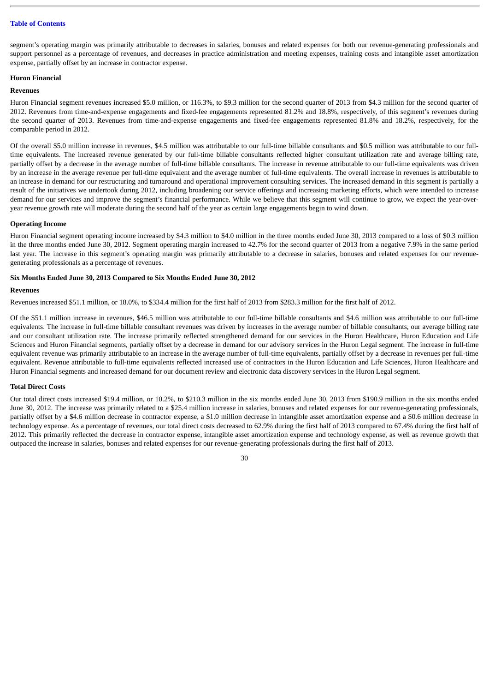segment's operating margin was primarily attributable to decreases in salaries, bonuses and related expenses for both our revenue-generating professionals and support personnel as a percentage of revenues, and decreases in practice administration and meeting expenses, training costs and intangible asset amortization expense, partially offset by an increase in contractor expense.

#### **Huron Financial**

#### **Revenues**

Huron Financial segment revenues increased \$5.0 million, or 116.3%, to \$9.3 million for the second quarter of 2013 from \$4.3 million for the second quarter of 2012. Revenues from time-and-expense engagements and fixed-fee engagements represented 81.2% and 18.8%, respectively, of this segment's revenues during the second quarter of 2013. Revenues from time-and-expense engagements and fixed-fee engagements represented 81.8% and 18.2%, respectively, for the comparable period in 2012.

Of the overall \$5.0 million increase in revenues, \$4.5 million was attributable to our full-time billable consultants and \$0.5 million was attributable to our fulltime equivalents. The increased revenue generated by our full-time billable consultants reflected higher consultant utilization rate and average billing rate, partially offset by a decrease in the average number of full-time billable consultants. The increase in revenue attributable to our full-time equivalents was driven by an increase in the average revenue per full-time equivalent and the average number of full-time equivalents. The overall increase in revenues is attributable to an increase in demand for our restructuring and turnaround and operational improvement consulting services. The increased demand in this segment is partially a result of the initiatives we undertook during 2012, including broadening our service offerings and increasing marketing efforts, which were intended to increase demand for our services and improve the segment's financial performance. While we believe that this segment will continue to grow, we expect the year-overyear revenue growth rate will moderate during the second half of the year as certain large engagements begin to wind down.

#### **Operating Income**

Huron Financial segment operating income increased by \$4.3 million to \$4.0 million in the three months ended June 30, 2013 compared to a loss of \$0.3 million in the three months ended June 30, 2012. Segment operating margin increased to 42.7% for the second quarter of 2013 from a negative 7.9% in the same period last year. The increase in this segment's operating margin was primarily attributable to a decrease in salaries, bonuses and related expenses for our revenuegenerating professionals as a percentage of revenues.

#### **Six Months Ended June 30, 2013 Compared to Six Months Ended June 30, 2012**

#### **Revenues**

Revenues increased \$51.1 million, or 18.0%, to \$334.4 million for the first half of 2013 from \$283.3 million for the first half of 2012.

Of the \$51.1 million increase in revenues, \$46.5 million was attributable to our full-time billable consultants and \$4.6 million was attributable to our full-time equivalents. The increase in full-time billable consultant revenues was driven by increases in the average number of billable consultants, our average billing rate and our consultant utilization rate. The increase primarily reflected strengthened demand for our services in the Huron Healthcare, Huron Education and Life Sciences and Huron Financial segments, partially offset by a decrease in demand for our advisory services in the Huron Legal segment. The increase in full-time equivalent revenue was primarily attributable to an increase in the average number of full-time equivalents, partially offset by a decrease in revenues per full-time equivalent. Revenue attributable to full-time equivalents reflected increased use of contractors in the Huron Education and Life Sciences, Huron Healthcare and Huron Financial segments and increased demand for our document review and electronic data discovery services in the Huron Legal segment.

#### **Total Direct Costs**

Our total direct costs increased \$19.4 million, or 10.2%, to \$210.3 million in the six months ended June 30, 2013 from \$190.9 million in the six months ended June 30, 2012. The increase was primarily related to a \$25.4 million increase in salaries, bonuses and related expenses for our revenue-generating professionals, partially offset by a \$4.6 million decrease in contractor expense, a \$1.0 million decrease in intangible asset amortization expense and a \$0.6 million decrease in technology expense. As a percentage of revenues, our total direct costs decreased to 62.9% during the first half of 2013 compared to 67.4% during the first half of 2012. This primarily reflected the decrease in contractor expense, intangible asset amortization expense and technology expense, as well as revenue growth that outpaced the increase in salaries, bonuses and related expenses for our revenue-generating professionals during the first half of 2013.

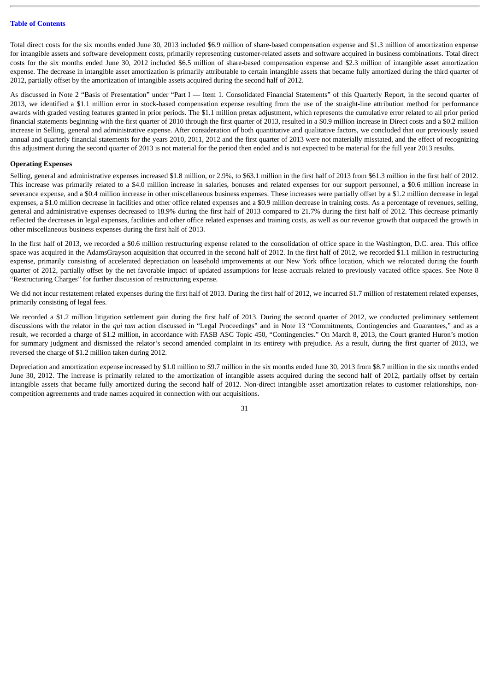Total direct costs for the six months ended June 30, 2013 included \$6.9 million of share-based compensation expense and \$1.3 million of amortization expense for intangible assets and software development costs, primarily representing customer-related assets and software acquired in business combinations. Total direct costs for the six months ended June 30, 2012 included \$6.5 million of share-based compensation expense and \$2.3 million of intangible asset amortization expense. The decrease in intangible asset amortization is primarily attributable to certain intangible assets that became fully amortized during the third quarter of 2012, partially offset by the amortization of intangible assets acquired during the second half of 2012.

As discussed in Note 2 "Basis of Presentation" under "Part I — Item 1. Consolidated Financial Statements" of this Quarterly Report, in the second quarter of 2013, we identified a \$1.1 million error in stock-based compensation expense resulting from the use of the straight-line attribution method for performance awards with graded vesting features granted in prior periods. The \$1.1 million pretax adjustment, which represents the cumulative error related to all prior period financial statements beginning with the first quarter of 2010 through the first quarter of 2013, resulted in a \$0.9 million increase in Direct costs and a \$0.2 million increase in Selling, general and administrative expense. After consideration of both quantitative and qualitative factors, we concluded that our previously issued annual and quarterly financial statements for the years 2010, 2011, 2012 and the first quarter of 2013 were not materially misstated, and the effect of recognizing this adjustment during the second quarter of 2013 is not material for the period then ended and is not expected to be material for the full year 2013 results.

#### **Operating Expenses**

Selling, general and administrative expenses increased \$1.8 million, or 2.9%, to \$63.1 million in the first half of 2013 from \$61.3 million in the first half of 2012. This increase was primarily related to a \$4.0 million increase in salaries, bonuses and related expenses for our support personnel, a \$0.6 million increase in severance expense, and a \$0.4 million increase in other miscellaneous business expenses. These increases were partially offset by a \$1.2 million decrease in legal expenses, a \$1.0 million decrease in facilities and other office related expenses and a \$0.9 million decrease in training costs. As a percentage of revenues, selling, general and administrative expenses decreased to 18.9% during the first half of 2013 compared to 21.7% during the first half of 2012. This decrease primarily reflected the decreases in legal expenses, facilities and other office related expenses and training costs, as well as our revenue growth that outpaced the growth in other miscellaneous business expenses during the first half of 2013.

In the first half of 2013, we recorded a \$0.6 million restructuring expense related to the consolidation of office space in the Washington, D.C. area. This office space was acquired in the AdamsGrayson acquisition that occurred in the second half of 2012. In the first half of 2012, we recorded \$1.1 million in restructuring expense, primarily consisting of accelerated depreciation on leasehold improvements at our New York office location, which we relocated during the fourth quarter of 2012, partially offset by the net favorable impact of updated assumptions for lease accruals related to previously vacated office spaces. See Note 8 "Restructuring Charges" for further discussion of restructuring expense.

We did not incur restatement related expenses during the first half of 2013. During the first half of 2012, we incurred \$1.7 million of restatement related expenses. primarily consisting of legal fees.

We recorded a \$1.2 million litigation settlement gain during the first half of 2013. During the second quarter of 2012, we conducted preliminary settlement discussions with the relator in the *qui tam* action discussed in "Legal Proceedings" and in Note 13 "Commitments, Contingencies and Guarantees," and as a result, we recorded a charge of \$1.2 million, in accordance with FASB ASC Topic 450, "Contingencies." On March 8, 2013, the Court granted Huron's motion for summary judgment and dismissed the relator's second amended complaint in its entirety with prejudice. As a result, during the first quarter of 2013, we reversed the charge of \$1.2 million taken during 2012.

Depreciation and amortization expense increased by \$1.0 million to \$9.7 million in the six months ended June 30, 2013 from \$8.7 million in the six months ended June 30, 2012. The increase is primarily related to the amortization of intangible assets acquired during the second half of 2012, partially offset by certain intangible assets that became fully amortized during the second half of 2012. Non-direct intangible asset amortization relates to customer relationships, noncompetition agreements and trade names acquired in connection with our acquisitions.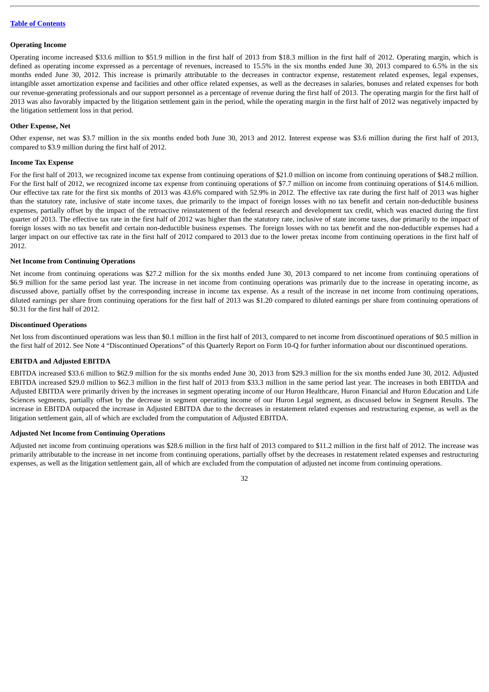#### **Operating Income**

Operating income increased \$33.6 million to \$51.9 million in the first half of 2013 from \$18.3 million in the first half of 2012. Operating margin, which is defined as operating income expressed as a percentage of revenues, increased to 15.5% in the six months ended June 30, 2013 compared to 6.5% in the six months ended June 30, 2012. This increase is primarily attributable to the decreases in contractor expense, restatement related expenses, legal expenses, intangible asset amortization expense and facilities and other office related expenses, as well as the decreases in salaries, bonuses and related expenses for both our revenue-generating professionals and our support personnel as a percentage of revenue during the first half of 2013. The operating margin for the first half of 2013 was also favorably impacted by the litigation settlement gain in the period, while the operating margin in the first half of 2012 was negatively impacted by the litigation settlement loss in that period.

#### **Other Expense, Net**

Other expense, net was \$3.7 million in the six months ended both June 30, 2013 and 2012. Interest expense was \$3.6 million during the first half of 2013, compared to \$3.9 million during the first half of 2012.

#### **Income Tax Expense**

For the first half of 2013, we recognized income tax expense from continuing operations of \$21.0 million on income from continuing operations of \$48.2 million. For the first half of 2012, we recognized income tax expense from continuing operations of \$7.7 million on income from continuing operations of \$14.6 million. Our effective tax rate for the first six months of 2013 was 43.6% compared with 52.9% in 2012. The effective tax rate during the first half of 2013 was higher than the statutory rate, inclusive of state income taxes, due primarily to the impact of foreign losses with no tax benefit and certain non-deductible business expenses, partially offset by the impact of the retroactive reinstatement of the federal research and development tax credit, which was enacted during the first quarter of 2013. The effective tax rate in the first half of 2012 was higher than the statutory rate, inclusive of state income taxes, due primarily to the impact of foreign losses with no tax benefit and certain non-deductible business expenses. The foreign losses with no tax benefit and the non-deductible expenses had a larger impact on our effective tax rate in the first half of 2012 compared to 2013 due to the lower pretax income from continuing operations in the first half of 2012.

#### **Net Income from Continuing Operations**

Net income from continuing operations was \$27.2 million for the six months ended June 30, 2013 compared to net income from continuing operations of \$6.9 million for the same period last year. The increase in net income from continuing operations was primarily due to the increase in operating income, as discussed above, partially offset by the corresponding increase in income tax expense. As a result of the increase in net income from continuing operations, diluted earnings per share from continuing operations for the first half of 2013 was \$1.20 compared to diluted earnings per share from continuing operations of \$0.31 for the first half of 2012.

#### **Discontinued Operations**

Net loss from discontinued operations was less than \$0.1 million in the first half of 2013, compared to net income from discontinued operations of \$0.5 million in the first half of 2012. See Note 4 "Discontinued Operations" of this Quarterly Report on Form 10-Q for further information about our discontinued operations.

#### **EBITDA and Adjusted EBITDA**

EBITDA increased \$33.6 million to \$62.9 million for the six months ended June 30, 2013 from \$29.3 million for the six months ended June 30, 2012. Adjusted EBITDA increased \$29.0 million to \$62.3 million in the first half of 2013 from \$33.3 million in the same period last year. The increases in both EBITDA and Adjusted EBITDA were primarily driven by the increases in segment operating income of our Huron Healthcare, Huron Financial and Huron Education and Life Sciences segments, partially offset by the decrease in segment operating income of our Huron Legal segment, as discussed below in Segment Results. The increase in EBITDA outpaced the increase in Adjusted EBITDA due to the decreases in restatement related expenses and restructuring expense, as well as the litigation settlement gain, all of which are excluded from the computation of Adjusted EBITDA.

#### **Adjusted Net Income from Continuing Operations**

Adjusted net income from continuing operations was \$28.6 million in the first half of 2013 compared to \$11.2 million in the first half of 2012. The increase was primarily attributable to the increase in net income from continuing operations, partially offset by the decreases in restatement related expenses and restructuring expenses, as well as the litigation settlement gain, all of which are excluded from the computation of adjusted net income from continuing operations.

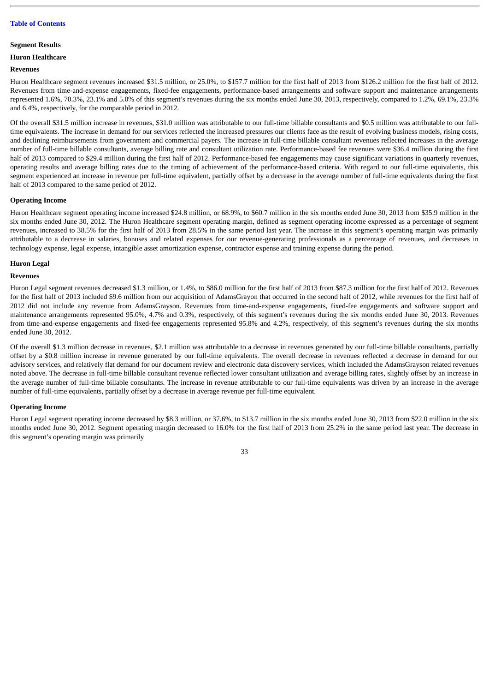#### **Segment Results**

#### **Huron Healthcare**

#### **Revenues**

Huron Healthcare segment revenues increased \$31.5 million, or 25.0%, to \$157.7 million for the first half of 2013 from \$126.2 million for the first half of 2012. Revenues from time-and-expense engagements, fixed-fee engagements, performance-based arrangements and software support and maintenance arrangements represented 1.6%, 70.3%, 23.1% and 5.0% of this segment's revenues during the six months ended June 30, 2013, respectively, compared to 1.2%, 69.1%, 23.3% and 6.4%, respectively, for the comparable period in 2012.

Of the overall \$31.5 million increase in revenues, \$31.0 million was attributable to our full-time billable consultants and \$0.5 million was attributable to our fulltime equivalents. The increase in demand for our services reflected the increased pressures our clients face as the result of evolving business models, rising costs, and declining reimbursements from government and commercial payers. The increase in full-time billable consultant revenues reflected increases in the average number of full-time billable consultants, average billing rate and consultant utilization rate. Performance-based fee revenues were \$36.4 million during the first half of 2013 compared to \$29.4 million during the first half of 2012. Performance-based fee engagements may cause significant variations in quarterly revenues, operating results and average billing rates due to the timing of achievement of the performance-based criteria. With regard to our full-time equivalents, this segment experienced an increase in revenue per full-time equivalent, partially offset by a decrease in the average number of full-time equivalents during the first half of 2013 compared to the same period of 2012.

#### **Operating Income**

Huron Healthcare segment operating income increased \$24.8 million, or 68.9%, to \$60.7 million in the six months ended June 30, 2013 from \$35.9 million in the six months ended June 30, 2012. The Huron Healthcare segment operating margin, defined as segment operating income expressed as a percentage of segment revenues, increased to 38.5% for the first half of 2013 from 28.5% in the same period last year. The increase in this segment's operating margin was primarily attributable to a decrease in salaries, bonuses and related expenses for our revenue-generating professionals as a percentage of revenues, and decreases in technology expense, legal expense, intangible asset amortization expense, contractor expense and training expense during the period.

#### **Huron Legal**

#### **Revenues**

Huron Legal segment revenues decreased \$1.3 million, or 1.4%, to \$86.0 million for the first half of 2013 from \$87.3 million for the first half of 2012. Revenues for the first half of 2013 included \$9.6 million from our acquisition of AdamsGrayon that occurred in the second half of 2012, while revenues for the first half of 2012 did not include any revenue from AdamsGrayson. Revenues from time-and-expense engagements, fixed-fee engagements and software support and maintenance arrangements represented 95.0%, 4.7% and 0.3%, respectively, of this segment's revenues during the six months ended June 30, 2013. Revenues from time-and-expense engagements and fixed-fee engagements represented 95.8% and 4.2%, respectively, of this segment's revenues during the six months ended June 30, 2012.

Of the overall \$1.3 million decrease in revenues, \$2.1 million was attributable to a decrease in revenues generated by our full-time billable consultants, partially offset by a \$0.8 million increase in revenue generated by our full-time equivalents. The overall decrease in revenues reflected a decrease in demand for our advisory services, and relatively flat demand for our document review and electronic data discovery services, which included the AdamsGrayson related revenues noted above. The decrease in full-time billable consultant revenue reflected lower consultant utilization and average billing rates, slightly offset by an increase in the average number of full-time billable consultants. The increase in revenue attributable to our full-time equivalents was driven by an increase in the average number of full-time equivalents, partially offset by a decrease in average revenue per full-time equivalent.

#### **Operating Income**

Huron Legal segment operating income decreased by \$8.3 million, or 37.6%, to \$13.7 million in the six months ended June 30, 2013 from \$22.0 million in the six months ended June 30, 2012. Segment operating margin decreased to 16.0% for the first half of 2013 from 25.2% in the same period last year. The decrease in this segment's operating margin was primarily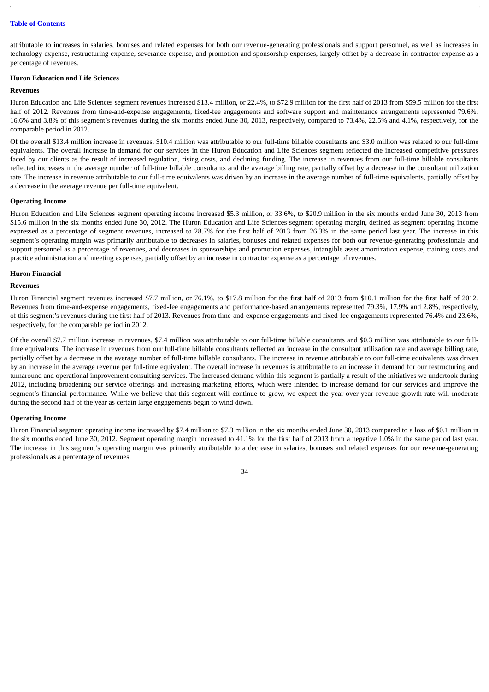attributable to increases in salaries, bonuses and related expenses for both our revenue-generating professionals and support personnel, as well as increases in technology expense, restructuring expense, severance expense, and promotion and sponsorship expenses, largely offset by a decrease in contractor expense as a percentage of revenues.

#### **Huron Education and Life Sciences**

#### **Revenues**

Huron Education and Life Sciences segment revenues increased \$13.4 million, or 22.4%, to \$72.9 million for the first half of 2013 from \$59.5 million for the first half of 2012. Revenues from time-and-expense engagements, fixed-fee engagements and software support and maintenance arrangements represented 79.6%, 16.6% and 3.8% of this segment's revenues during the six months ended June 30, 2013, respectively, compared to 73.4%, 22.5% and 4.1%, respectively, for the comparable period in 2012.

Of the overall \$13.4 million increase in revenues, \$10.4 million was attributable to our full-time billable consultants and \$3.0 million was related to our full-time equivalents. The overall increase in demand for our services in the Huron Education and Life Sciences segment reflected the increased competitive pressures faced by our clients as the result of increased regulation, rising costs, and declining funding. The increase in revenues from our full-time billable consultants reflected increases in the average number of full-time billable consultants and the average billing rate, partially offset by a decrease in the consultant utilization rate. The increase in revenue attributable to our full-time equivalents was driven by an increase in the average number of full-time equivalents, partially offset by a decrease in the average revenue per full-time equivalent.

#### **Operating Income**

Huron Education and Life Sciences segment operating income increased \$5.3 million, or 33.6%, to \$20.9 million in the six months ended June 30, 2013 from \$15.6 million in the six months ended June 30, 2012. The Huron Education and Life Sciences segment operating margin, defined as segment operating income expressed as a percentage of segment revenues, increased to 28.7% for the first half of 2013 from 26.3% in the same period last year. The increase in this segment's operating margin was primarily attributable to decreases in salaries, bonuses and related expenses for both our revenue-generating professionals and support personnel as a percentage of revenues, and decreases in sponsorships and promotion expenses, intangible asset amortization expense, training costs and practice administration and meeting expenses, partially offset by an increase in contractor expense as a percentage of revenues.

#### **Huron Financial**

#### **Revenues**

Huron Financial segment revenues increased \$7.7 million, or 76.1%, to \$17.8 million for the first half of 2013 from \$10.1 million for the first half of 2012. Revenues from time-and-expense engagements, fixed-fee engagements and performance-based arrangements represented 79.3%, 17.9% and 2.8%, respectively, of this segment's revenues during the first half of 2013. Revenues from time-and-expense engagements and fixed-fee engagements represented 76.4% and 23.6%, respectively, for the comparable period in 2012.

Of the overall \$7.7 million increase in revenues, \$7.4 million was attributable to our full-time billable consultants and \$0.3 million was attributable to our fulltime equivalents. The increase in revenues from our full-time billable consultants reflected an increase in the consultant utilization rate and average billing rate, partially offset by a decrease in the average number of full-time billable consultants. The increase in revenue attributable to our full-time equivalents was driven by an increase in the average revenue per full-time equivalent. The overall increase in revenues is attributable to an increase in demand for our restructuring and turnaround and operational improvement consulting services. The increased demand within this segment is partially a result of the initiatives we undertook during 2012, including broadening our service offerings and increasing marketing efforts, which were intended to increase demand for our services and improve the segment's financial performance. While we believe that this segment will continue to grow, we expect the year-over-year revenue growth rate will moderate during the second half of the year as certain large engagements begin to wind down.

#### **Operating Income**

Huron Financial segment operating income increased by \$7.4 million to \$7.3 million in the six months ended June 30, 2013 compared to a loss of \$0.1 million in the six months ended June 30, 2012. Segment operating margin increased to 41.1% for the first half of 2013 from a negative 1.0% in the same period last year. The increase in this segment's operating margin was primarily attributable to a decrease in salaries, bonuses and related expenses for our revenue-generating professionals as a percentage of revenues.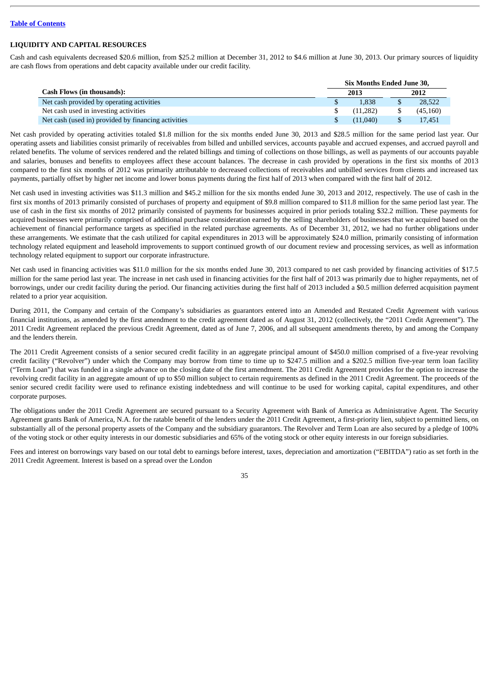## **LIQUIDITY AND CAPITAL RESOURCES**

Cash and cash equivalents decreased \$20.6 million, from \$25.2 million at December 31, 2012 to \$4.6 million at June 30, 2013. Our primary sources of liquidity are cash flows from operations and debt capacity available under our credit facility.

|                                                     | <b>Six Months Ended June 30,</b> |          |      |           |  |  |
|-----------------------------------------------------|----------------------------------|----------|------|-----------|--|--|
| <b>Cash Flows (in thousands):</b>                   |                                  | 2013     | 2012 |           |  |  |
| Net cash provided by operating activities           |                                  | 1.838    |      | 28,522    |  |  |
| Net cash used in investing activities               |                                  | (11.282) |      | (45, 160) |  |  |
| Net cash (used in) provided by financing activities |                                  | (11.040) |      | 17.451    |  |  |

Net cash provided by operating activities totaled \$1.8 million for the six months ended June 30, 2013 and \$28.5 million for the same period last year. Our operating assets and liabilities consist primarily of receivables from billed and unbilled services, accounts payable and accrued expenses, and accrued payroll and related benefits. The volume of services rendered and the related billings and timing of collections on those billings, as well as payments of our accounts payable and salaries, bonuses and benefits to employees affect these account balances. The decrease in cash provided by operations in the first six months of 2013 compared to the first six months of 2012 was primarily attributable to decreased collections of receivables and unbilled services from clients and increased tax payments, partially offset by higher net income and lower bonus payments during the first half of 2013 when compared with the first half of 2012.

Net cash used in investing activities was \$11.3 million and \$45.2 million for the six months ended June 30, 2013 and 2012, respectively. The use of cash in the first six months of 2013 primarily consisted of purchases of property and equipment of \$9.8 million compared to \$11.8 million for the same period last year. The use of cash in the first six months of 2012 primarily consisted of payments for businesses acquired in prior periods totaling \$32.2 million. These payments for acquired businesses were primarily comprised of additional purchase consideration earned by the selling shareholders of businesses that we acquired based on the achievement of financial performance targets as specified in the related purchase agreements. As of December 31, 2012, we had no further obligations under these arrangements. We estimate that the cash utilized for capital expenditures in 2013 will be approximately \$24.0 million, primarily consisting of information technology related equipment and leasehold improvements to support continued growth of our document review and processing services, as well as information technology related equipment to support our corporate infrastructure.

Net cash used in financing activities was \$11.0 million for the six months ended June 30, 2013 compared to net cash provided by financing activities of \$17.5 million for the same period last year. The increase in net cash used in financing activities for the first half of 2013 was primarily due to higher repayments, net of borrowings, under our credit facility during the period. Our financing activities during the first half of 2013 included a \$0.5 million deferred acquisition payment related to a prior year acquisition.

During 2011, the Company and certain of the Company's subsidiaries as guarantors entered into an Amended and Restated Credit Agreement with various financial institutions, as amended by the first amendment to the credit agreement dated as of August 31, 2012 (collectively, the "2011 Credit Agreement"). The 2011 Credit Agreement replaced the previous Credit Agreement, dated as of June 7, 2006, and all subsequent amendments thereto, by and among the Company and the lenders therein.

The 2011 Credit Agreement consists of a senior secured credit facility in an aggregate principal amount of \$450.0 million comprised of a five-year revolving credit facility ("Revolver") under which the Company may borrow from time to time up to \$247.5 million and a \$202.5 million five-year term loan facility ("Term Loan") that was funded in a single advance on the closing date of the first amendment. The 2011 Credit Agreement provides for the option to increase the revolving credit facility in an aggregate amount of up to \$50 million subject to certain requirements as defined in the 2011 Credit Agreement. The proceeds of the senior secured credit facility were used to refinance existing indebtedness and will continue to be used for working capital, capital expenditures, and other corporate purposes.

The obligations under the 2011 Credit Agreement are secured pursuant to a Security Agreement with Bank of America as Administrative Agent. The Security Agreement grants Bank of America, N.A. for the ratable benefit of the lenders under the 2011 Credit Agreement, a first-priority lien, subject to permitted liens, on substantially all of the personal property assets of the Company and the subsidiary guarantors. The Revolver and Term Loan are also secured by a pledge of 100% of the voting stock or other equity interests in our domestic subsidiaries and 65% of the voting stock or other equity interests in our foreign subsidiaries.

Fees and interest on borrowings vary based on our total debt to earnings before interest, taxes, depreciation and amortization ("EBITDA") ratio as set forth in the 2011 Credit Agreement. Interest is based on a spread over the London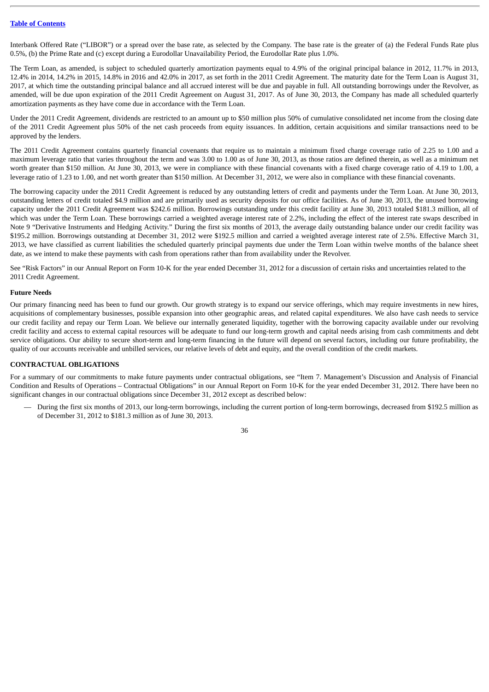Interbank Offered Rate ("LIBOR") or a spread over the base rate, as selected by the Company. The base rate is the greater of (a) the Federal Funds Rate plus 0.5%, (b) the Prime Rate and (c) except during a Eurodollar Unavailability Period, the Eurodollar Rate plus 1.0%.

The Term Loan, as amended, is subject to scheduled quarterly amortization payments equal to 4.9% of the original principal balance in 2012, 11.7% in 2013, 12.4% in 2014, 14.2% in 2015, 14.8% in 2016 and 42.0% in 2017, as set forth in the 2011 Credit Agreement. The maturity date for the Term Loan is August 31, 2017, at which time the outstanding principal balance and all accrued interest will be due and payable in full. All outstanding borrowings under the Revolver, as amended, will be due upon expiration of the 2011 Credit Agreement on August 31, 2017. As of June 30, 2013, the Company has made all scheduled quarterly amortization payments as they have come due in accordance with the Term Loan.

Under the 2011 Credit Agreement, dividends are restricted to an amount up to \$50 million plus 50% of cumulative consolidated net income from the closing date of the 2011 Credit Agreement plus 50% of the net cash proceeds from equity issuances. In addition, certain acquisitions and similar transactions need to be approved by the lenders.

The 2011 Credit Agreement contains quarterly financial covenants that require us to maintain a minimum fixed charge coverage ratio of 2.25 to 1.00 and a maximum leverage ratio that varies throughout the term and was 3.00 to 1.00 as of June 30, 2013, as those ratios are defined therein, as well as a minimum net worth greater than \$150 million. At June 30, 2013, we were in compliance with these financial covenants with a fixed charge coverage ratio of 4.19 to 1.00, a leverage ratio of 1.23 to 1.00, and net worth greater than \$150 million. At December 31, 2012, we were also in compliance with these financial covenants.

The borrowing capacity under the 2011 Credit Agreement is reduced by any outstanding letters of credit and payments under the Term Loan. At June 30, 2013, outstanding letters of credit totaled \$4.9 million and are primarily used as security deposits for our office facilities. As of June 30, 2013, the unused borrowing capacity under the 2011 Credit Agreement was \$242.6 million. Borrowings outstanding under this credit facility at June 30, 2013 totaled \$181.3 million, all of which was under the Term Loan. These borrowings carried a weighted average interest rate of 2.2%, including the effect of the interest rate swaps described in Note 9 "Derivative Instruments and Hedging Activity." During the first six months of 2013, the average daily outstanding balance under our credit facility was \$195.2 million. Borrowings outstanding at December 31, 2012 were \$192.5 million and carried a weighted average interest rate of 2.5%. Effective March 31, 2013, we have classified as current liabilities the scheduled quarterly principal payments due under the Term Loan within twelve months of the balance sheet date, as we intend to make these payments with cash from operations rather than from availability under the Revolver.

See "Risk Factors" in our Annual Report on Form 10-K for the year ended December 31, 2012 for a discussion of certain risks and uncertainties related to the 2011 Credit Agreement.

#### **Future Needs**

Our primary financing need has been to fund our growth. Our growth strategy is to expand our service offerings, which may require investments in new hires, acquisitions of complementary businesses, possible expansion into other geographic areas, and related capital expenditures. We also have cash needs to service our credit facility and repay our Term Loan. We believe our internally generated liquidity, together with the borrowing capacity available under our revolving credit facility and access to external capital resources will be adequate to fund our long-term growth and capital needs arising from cash commitments and debt service obligations. Our ability to secure short-term and long-term financing in the future will depend on several factors, including our future profitability, the quality of our accounts receivable and unbilled services, our relative levels of debt and equity, and the overall condition of the credit markets.

#### **CONTRACTUAL OBLIGATIONS**

For a summary of our commitments to make future payments under contractual obligations, see "Item 7. Management's Discussion and Analysis of Financial Condition and Results of Operations – Contractual Obligations" in our Annual Report on Form 10-K for the year ended December 31, 2012. There have been no significant changes in our contractual obligations since December 31, 2012 except as described below:

— During the first six months of 2013, our long-term borrowings, including the current portion of long-term borrowings, decreased from \$192.5 million as of December 31, 2012 to \$181.3 million as of June 30, 2013.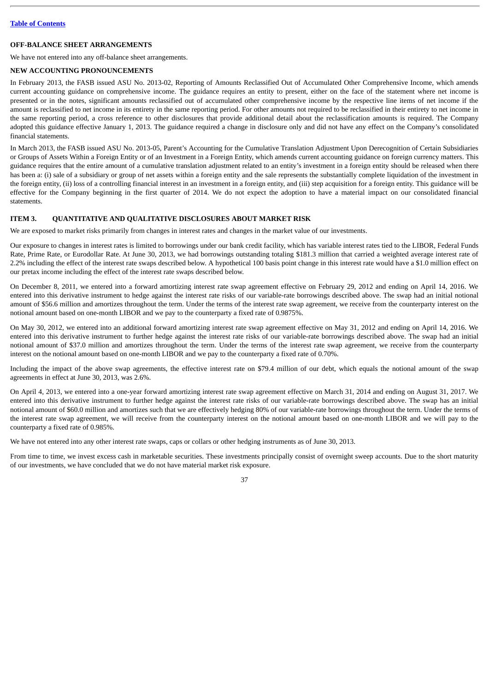## **OFF-BALANCE SHEET ARRANGEMENTS**

We have not entered into any off-balance sheet arrangements.

## **NEW ACCOUNTING PRONOUNCEMENTS**

In February 2013, the FASB issued ASU No. 2013-02, Reporting of Amounts Reclassified Out of Accumulated Other Comprehensive Income, which amends current accounting guidance on comprehensive income. The guidance requires an entity to present, either on the face of the statement where net income is presented or in the notes, significant amounts reclassified out of accumulated other comprehensive income by the respective line items of net income if the amount is reclassified to net income in its entirety in the same reporting period. For other amounts not required to be reclassified in their entirety to net income in the same reporting period, a cross reference to other disclosures that provide additional detail about the reclassification amounts is required. The Company adopted this guidance effective January 1, 2013. The guidance required a change in disclosure only and did not have any effect on the Company's consolidated financial statements.

In March 2013, the FASB issued ASU No. 2013-05, Parent's Accounting for the Cumulative Translation Adjustment Upon Derecognition of Certain Subsidiaries or Groups of Assets Within a Foreign Entity or of an Investment in a Foreign Entity, which amends current accounting guidance on foreign currency matters. This guidance requires that the entire amount of a cumulative translation adjustment related to an entity's investment in a foreign entity should be released when there has been a: (i) sale of a subsidiary or group of net assets within a foreign entity and the sale represents the substantially complete liquidation of the investment in the foreign entity, (ii) loss of a controlling financial interest in an investment in a foreign entity, and (iii) step acquisition for a foreign entity. This guidance will be effective for the Company beginning in the first quarter of 2014. We do not expect the adoption to have a material impact on our consolidated financial statements.

## <span id="page-38-0"></span>**ITEM 3. QUANTITATIVE AND QUALITATIVE DISCLOSURES ABOUT MARKET RISK**

We are exposed to market risks primarily from changes in interest rates and changes in the market value of our investments.

Our exposure to changes in interest rates is limited to borrowings under our bank credit facility, which has variable interest rates tied to the LIBOR, Federal Funds Rate, Prime Rate, or Eurodollar Rate. At June 30, 2013, we had borrowings outstanding totaling \$181.3 million that carried a weighted average interest rate of 2.2% including the effect of the interest rate swaps described below. A hypothetical 100 basis point change in this interest rate would have a \$1.0 million effect on our pretax income including the effect of the interest rate swaps described below.

On December 8, 2011, we entered into a forward amortizing interest rate swap agreement effective on February 29, 2012 and ending on April 14, 2016. We entered into this derivative instrument to hedge against the interest rate risks of our variable-rate borrowings described above. The swap had an initial notional amount of \$56.6 million and amortizes throughout the term. Under the terms of the interest rate swap agreement, we receive from the counterparty interest on the notional amount based on one-month LIBOR and we pay to the counterparty a fixed rate of 0.9875%.

On May 30, 2012, we entered into an additional forward amortizing interest rate swap agreement effective on May 31, 2012 and ending on April 14, 2016. We entered into this derivative instrument to further hedge against the interest rate risks of our variable-rate borrowings described above. The swap had an initial notional amount of \$37.0 million and amortizes throughout the term. Under the terms of the interest rate swap agreement, we receive from the counterparty interest on the notional amount based on one-month LIBOR and we pay to the counterparty a fixed rate of 0.70%.

Including the impact of the above swap agreements, the effective interest rate on \$79.4 million of our debt, which equals the notional amount of the swap agreements in effect at June 30, 2013, was 2.6%.

On April 4, 2013, we entered into a one-year forward amortizing interest rate swap agreement effective on March 31, 2014 and ending on August 31, 2017. We entered into this derivative instrument to further hedge against the interest rate risks of our variable-rate borrowings described above. The swap has an initial notional amount of \$60.0 million and amortizes such that we are effectively hedging 80% of our variable-rate borrowings throughout the term. Under the terms of the interest rate swap agreement, we will receive from the counterparty interest on the notional amount based on one-month LIBOR and we will pay to the counterparty a fixed rate of 0.985%.

We have not entered into any other interest rate swaps, caps or collars or other hedging instruments as of June 30, 2013.

From time to time, we invest excess cash in marketable securities. These investments principally consist of overnight sweep accounts. Due to the short maturity of our investments, we have concluded that we do not have material market risk exposure.

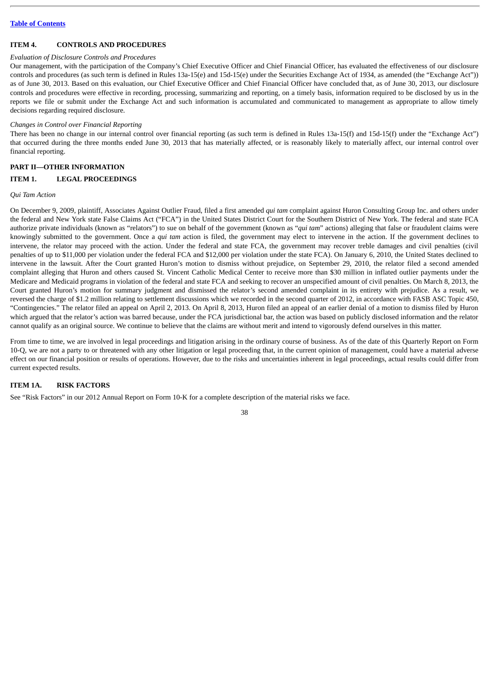#### <span id="page-39-0"></span>**ITEM 4. CONTROLS AND PROCEDURES**

#### *Evaluation of Disclosure Controls and Procedures*

Our management, with the participation of the Company's Chief Executive Officer and Chief Financial Officer, has evaluated the effectiveness of our disclosure controls and procedures (as such term is defined in Rules 13a-15(e) and 15d-15(e) under the Securities Exchange Act of 1934, as amended (the "Exchange Act")) as of June 30, 2013. Based on this evaluation, our Chief Executive Officer and Chief Financial Officer have concluded that, as of June 30, 2013, our disclosure controls and procedures were effective in recording, processing, summarizing and reporting, on a timely basis, information required to be disclosed by us in the reports we file or submit under the Exchange Act and such information is accumulated and communicated to management as appropriate to allow timely decisions regarding required disclosure.

#### *Changes in Control over Financial Reporting*

There has been no change in our internal control over financial reporting (as such term is defined in Rules 13a-15(f) and 15d-15(f) under the "Exchange Act") that occurred during the three months ended June 30, 2013 that has materially affected, or is reasonably likely to materially affect, our internal control over financial reporting.

## <span id="page-39-1"></span>**PART II—OTHER INFORMATION**

#### <span id="page-39-2"></span>**ITEM 1. LEGAL PROCEEDINGS**

#### *Qui Tam Action*

On December 9, 2009, plaintiff, Associates Against Outlier Fraud, filed a first amended *qui tam* complaint against Huron Consulting Group Inc. and others under the federal and New York state False Claims Act ("FCA") in the United States District Court for the Southern District of New York. The federal and state FCA authorize private individuals (known as "relators") to sue on behalf of the government (known as "*qui tam*" actions) alleging that false or fraudulent claims were knowingly submitted to the government. Once a *qui tam* action is filed, the government may elect to intervene in the action. If the government declines to intervene, the relator may proceed with the action. Under the federal and state FCA, the government may recover treble damages and civil penalties (civil penalties of up to \$11,000 per violation under the federal FCA and \$12,000 per violation under the state FCA). On January 6, 2010, the United States declined to intervene in the lawsuit. After the Court granted Huron's motion to dismiss without prejudice, on September 29, 2010, the relator filed a second amended complaint alleging that Huron and others caused St. Vincent Catholic Medical Center to receive more than \$30 million in inflated outlier payments under the Medicare and Medicaid programs in violation of the federal and state FCA and seeking to recover an unspecified amount of civil penalties. On March 8, 2013, the Court granted Huron's motion for summary judgment and dismissed the relator's second amended complaint in its entirety with prejudice. As a result, we reversed the charge of \$1.2 million relating to settlement discussions which we recorded in the second quarter of 2012, in accordance with FASB ASC Topic 450, "Contingencies." The relator filed an appeal on April 2, 2013. On April 8, 2013, Huron filed an appeal of an earlier denial of a motion to dismiss filed by Huron which argued that the relator's action was barred because, under the FCA jurisdictional bar, the action was based on publicly disclosed information and the relator cannot qualify as an original source. We continue to believe that the claims are without merit and intend to vigorously defend ourselves in this matter.

From time to time, we are involved in legal proceedings and litigation arising in the ordinary course of business. As of the date of this Quarterly Report on Form 10-Q, we are not a party to or threatened with any other litigation or legal proceeding that, in the current opinion of management, could have a material adverse effect on our financial position or results of operations. However, due to the risks and uncertainties inherent in legal proceedings, actual results could differ from current expected results.

#### <span id="page-39-3"></span>**ITEM 1A. RISK FACTORS**

See "Risk Factors" in our 2012 Annual Report on Form 10-K for a complete description of the material risks we face.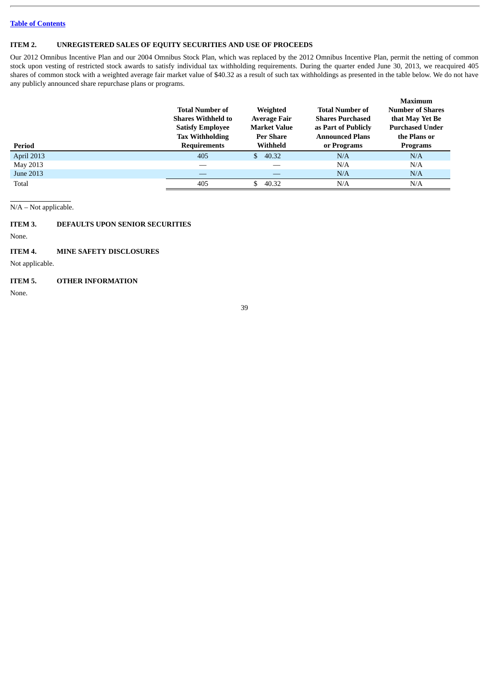## <span id="page-40-0"></span>**ITEM 2. UNREGISTERED SALES OF EQUITY SECURITIES AND USE OF PROCEEDS**

Our 2012 Omnibus Incentive Plan and our 2004 Omnibus Stock Plan, which was replaced by the 2012 Omnibus Incentive Plan, permit the netting of common stock upon vesting of restricted stock awards to satisfy individual tax withholding requirements. During the quarter ended June 30, 2013, we reacquired 405 shares of common stock with a weighted average fair market value of \$40.32 as a result of such tax withholdings as presented in the table below. We do not have any publicly announced share repurchase plans or programs.

|            | <b>Total Number of</b><br><b>Shares Withheld to</b><br><b>Satisfy Employee</b><br><b>Tax Withholding</b> | Weighted<br><b>Average Fair</b><br><b>Market Value</b><br><b>Per Share</b> | <b>Maximum</b><br><b>Number of Shares</b><br>that May Yet Be<br><b>Purchased Under</b><br>the Plans or |          |
|------------|----------------------------------------------------------------------------------------------------------|----------------------------------------------------------------------------|--------------------------------------------------------------------------------------------------------|----------|
| Period     | <b>Requirements</b>                                                                                      | Withheld                                                                   | or Programs                                                                                            | Programs |
| April 2013 | 405                                                                                                      | \$40.32                                                                    | N/A                                                                                                    | N/A      |
| May 2013   |                                                                                                          |                                                                            | N/A                                                                                                    | N/A      |
| June 2013  |                                                                                                          |                                                                            | N/A                                                                                                    | N/A      |
| Total      | 405                                                                                                      | 40.32<br>ה.                                                                | N/A                                                                                                    | N/A      |

N/A – Not applicable.

## <span id="page-40-1"></span>**ITEM 3. DEFAULTS UPON SENIOR SECURITIES**

None.

#### <span id="page-40-2"></span>**ITEM 4. MINE SAFETY DISCLOSURES**

Not applicable.

#### <span id="page-40-3"></span>**ITEM 5. OTHER INFORMATION**

None.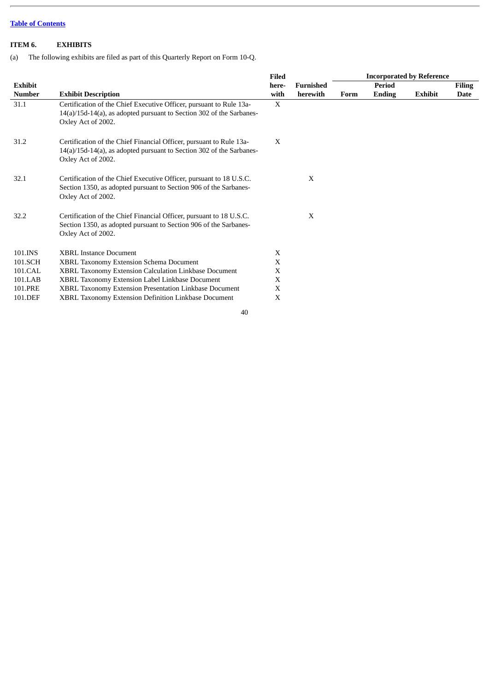## <span id="page-41-0"></span>**ITEM 6. EXHIBITS**

(a) The following exhibits are filed as part of this Quarterly Report on Form 10-Q.

|                |                                                                                                                                                                      | Filed                     |           | <b>Incorporated by Reference</b> |        |         |               |
|----------------|----------------------------------------------------------------------------------------------------------------------------------------------------------------------|---------------------------|-----------|----------------------------------|--------|---------|---------------|
| <b>Exhibit</b> |                                                                                                                                                                      | here-                     | Furnished |                                  | Period |         | <b>Filing</b> |
| <b>Number</b>  | <b>Exhibit Description</b>                                                                                                                                           | with                      | herewith  | Form                             | Ending | Exhibit | <b>Date</b>   |
| 31.1           | Certification of the Chief Executive Officer, pursuant to Rule 13a-<br>$14(a)/15d-14(a)$ , as adopted pursuant to Section 302 of the Sarbanes-<br>Oxley Act of 2002. | X                         |           |                                  |        |         |               |
| 31.2           | Certification of the Chief Financial Officer, pursuant to Rule 13a-<br>$14(a)/15d-14(a)$ , as adopted pursuant to Section 302 of the Sarbanes-<br>Oxley Act of 2002. | $\boldsymbol{\mathrm{X}}$ |           |                                  |        |         |               |
| 32.1           | Certification of the Chief Executive Officer, pursuant to 18 U.S.C.<br>Section 1350, as adopted pursuant to Section 906 of the Sarbanes-<br>Oxley Act of 2002.       |                           | X         |                                  |        |         |               |
| 32.2           | Certification of the Chief Financial Officer, pursuant to 18 U.S.C.<br>Section 1350, as adopted pursuant to Section 906 of the Sarbanes-<br>Oxley Act of 2002.       |                           | X         |                                  |        |         |               |
| 101.INS        | <b>XBRL Instance Document</b>                                                                                                                                        | X                         |           |                                  |        |         |               |
| 101.SCH        | XBRL Taxonomy Extension Schema Document                                                                                                                              | X                         |           |                                  |        |         |               |
| 101.CAL        | XBRL Taxonomy Extension Calculation Linkbase Document                                                                                                                | X                         |           |                                  |        |         |               |
| 101.LAB        | XBRL Taxonomy Extension Label Linkbase Document                                                                                                                      | X                         |           |                                  |        |         |               |
| 101.PRE        | XBRL Taxonomy Extension Presentation Linkbase Document                                                                                                               | X                         |           |                                  |        |         |               |
| 101.DEF        | XBRL Taxonomy Extension Definition Linkbase Document                                                                                                                 | X                         |           |                                  |        |         |               |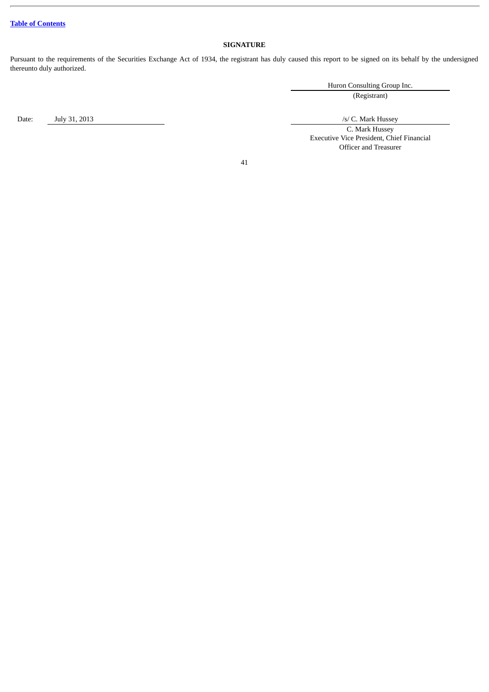## **SIGNATURE**

<span id="page-42-0"></span>Pursuant to the requirements of the Securities Exchange Act of 1934, the registrant has duly caused this report to be signed on its behalf by the undersigned thereunto duly authorized.

Huron Consulting Group Inc.

(Registrant)

Date: July 31, 2013 /s/ C. Mark Hussey

C. Mark Hussey Executive Vice President, Chief Financial Officer and Treasurer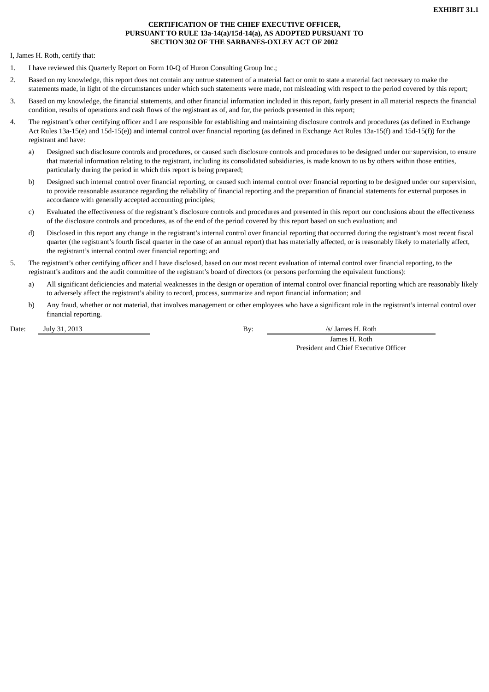#### **CERTIFICATION OF THE CHIEF EXECUTIVE OFFICER, PURSUANT TO RULE 13a-14(a)/15d-14(a), AS ADOPTED PURSUANT TO SECTION 302 OF THE SARBANES-OXLEY ACT OF 2002**

I, James H. Roth, certify that:

- 1. I have reviewed this Quarterly Report on Form 10-Q of Huron Consulting Group Inc.;
- 2. Based on my knowledge, this report does not contain any untrue statement of a material fact or omit to state a material fact necessary to make the statements made, in light of the circumstances under which such statements were made, not misleading with respect to the period covered by this report;
- 3. Based on my knowledge, the financial statements, and other financial information included in this report, fairly present in all material respects the financial condition, results of operations and cash flows of the registrant as of, and for, the periods presented in this report;
- 4. The registrant's other certifying officer and I are responsible for establishing and maintaining disclosure controls and procedures (as defined in Exchange Act Rules 13a-15(e) and 15d-15(e)) and internal control over financial reporting (as defined in Exchange Act Rules 13a-15(f) and 15d-15(f)) for the registrant and have:
	- a) Designed such disclosure controls and procedures, or caused such disclosure controls and procedures to be designed under our supervision, to ensure that material information relating to the registrant, including its consolidated subsidiaries, is made known to us by others within those entities, particularly during the period in which this report is being prepared;
	- b) Designed such internal control over financial reporting, or caused such internal control over financial reporting to be designed under our supervision, to provide reasonable assurance regarding the reliability of financial reporting and the preparation of financial statements for external purposes in accordance with generally accepted accounting principles;
	- c) Evaluated the effectiveness of the registrant's disclosure controls and procedures and presented in this report our conclusions about the effectiveness of the disclosure controls and procedures, as of the end of the period covered by this report based on such evaluation; and
	- d) Disclosed in this report any change in the registrant's internal control over financial reporting that occurred during the registrant's most recent fiscal quarter (the registrant's fourth fiscal quarter in the case of an annual report) that has materially affected, or is reasonably likely to materially affect, the registrant's internal control over financial reporting; and
- 5. The registrant's other certifying officer and I have disclosed, based on our most recent evaluation of internal control over financial reporting, to the registrant's auditors and the audit committee of the registrant's board of directors (or persons performing the equivalent functions):
	- a) All significant deficiencies and material weaknesses in the design or operation of internal control over financial reporting which are reasonably likely to adversely affect the registrant's ability to record, process, summarize and report financial information; and
	- b) Any fraud, whether or not material, that involves management or other employees who have a significant role in the registrant's internal control over financial reporting.

Date: July 31, 2013 **By:** By: /s/ James H. Roth

James H. Roth

President and Chief Executive Officer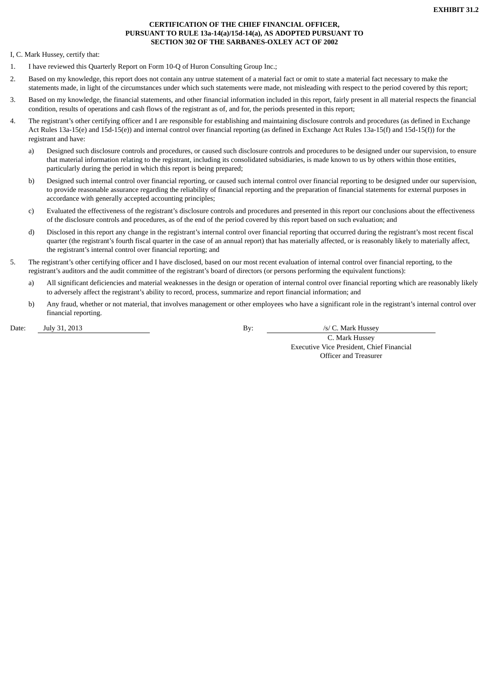#### **CERTIFICATION OF THE CHIEF FINANCIAL OFFICER, PURSUANT TO RULE 13a-14(a)/15d-14(a), AS ADOPTED PURSUANT TO SECTION 302 OF THE SARBANES-OXLEY ACT OF 2002**

I, C. Mark Hussey, certify that:

- 1. I have reviewed this Quarterly Report on Form 10-Q of Huron Consulting Group Inc.;
- 2. Based on my knowledge, this report does not contain any untrue statement of a material fact or omit to state a material fact necessary to make the statements made, in light of the circumstances under which such statements were made, not misleading with respect to the period covered by this report;
- 3. Based on my knowledge, the financial statements, and other financial information included in this report, fairly present in all material respects the financial condition, results of operations and cash flows of the registrant as of, and for, the periods presented in this report;
- 4. The registrant's other certifying officer and I are responsible for establishing and maintaining disclosure controls and procedures (as defined in Exchange Act Rules 13a-15(e) and 15d-15(e)) and internal control over financial reporting (as defined in Exchange Act Rules 13a-15(f) and 15d-15(f)) for the registrant and have:
	- a) Designed such disclosure controls and procedures, or caused such disclosure controls and procedures to be designed under our supervision, to ensure that material information relating to the registrant, including its consolidated subsidiaries, is made known to us by others within those entities, particularly during the period in which this report is being prepared;
	- b) Designed such internal control over financial reporting, or caused such internal control over financial reporting to be designed under our supervision, to provide reasonable assurance regarding the reliability of financial reporting and the preparation of financial statements for external purposes in accordance with generally accepted accounting principles;
	- c) Evaluated the effectiveness of the registrant's disclosure controls and procedures and presented in this report our conclusions about the effectiveness of the disclosure controls and procedures, as of the end of the period covered by this report based on such evaluation; and
	- d) Disclosed in this report any change in the registrant's internal control over financial reporting that occurred during the registrant's most recent fiscal quarter (the registrant's fourth fiscal quarter in the case of an annual report) that has materially affected, or is reasonably likely to materially affect, the registrant's internal control over financial reporting; and
- 5. The registrant's other certifying officer and I have disclosed, based on our most recent evaluation of internal control over financial reporting, to the registrant's auditors and the audit committee of the registrant's board of directors (or persons performing the equivalent functions):
	- a) All significant deficiencies and material weaknesses in the design or operation of internal control over financial reporting which are reasonably likely to adversely affect the registrant's ability to record, process, summarize and report financial information; and
	- b) Any fraud, whether or not material, that involves management or other employees who have a significant role in the registrant's internal control over financial reporting.

Date: July 31, 2013 **By:** By: *Internal By: By: Internal By: Internal By: Internal By: Internal By: Internal By: Internal By: Internal By: Internal By: Internal By: Internal By: Internal By: Inter* 

C. Mark Hussey Executive Vice President, Chief Financial Officer and Treasurer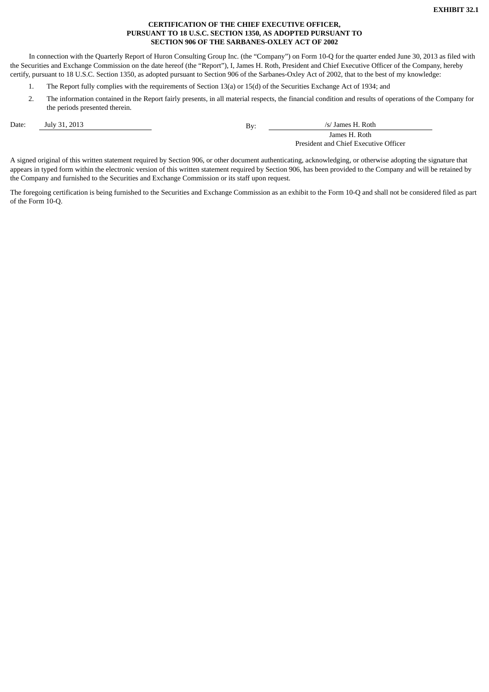#### **CERTIFICATION OF THE CHIEF EXECUTIVE OFFICER, PURSUANT TO 18 U.S.C. SECTION 1350, AS ADOPTED PURSUANT TO SECTION 906 OF THE SARBANES-OXLEY ACT OF 2002**

In connection with the Quarterly Report of Huron Consulting Group Inc. (the "Company") on Form 10-Q for the quarter ended June 30, 2013 as filed with the Securities and Exchange Commission on the date hereof (the "Report"), I, James H. Roth, President and Chief Executive Officer of the Company, hereby certify, pursuant to 18 U.S.C. Section 1350, as adopted pursuant to Section 906 of the Sarbanes-Oxley Act of 2002, that to the best of my knowledge:

- 1. The Report fully complies with the requirements of Section 13(a) or 15(d) of the Securities Exchange Act of 1934; and
- 2. The information contained in the Report fairly presents, in all material respects, the financial condition and results of operations of the Company for the periods presented therein.

Date: July 31, 2013 **By:** *Internal By: Internal By: Internal By: Internal By: Internal By: Internal By: Internal By: Internal By: Internal By: Internal By: Internal By: Internal By: Internal By:*

James H. Roth President and Chief Executive Officer

A signed original of this written statement required by Section 906, or other document authenticating, acknowledging, or otherwise adopting the signature that appears in typed form within the electronic version of this written statement required by Section 906, has been provided to the Company and will be retained by the Company and furnished to the Securities and Exchange Commission or its staff upon request.

The foregoing certification is being furnished to the Securities and Exchange Commission as an exhibit to the Form 10-Q and shall not be considered filed as part of the Form 10-Q.